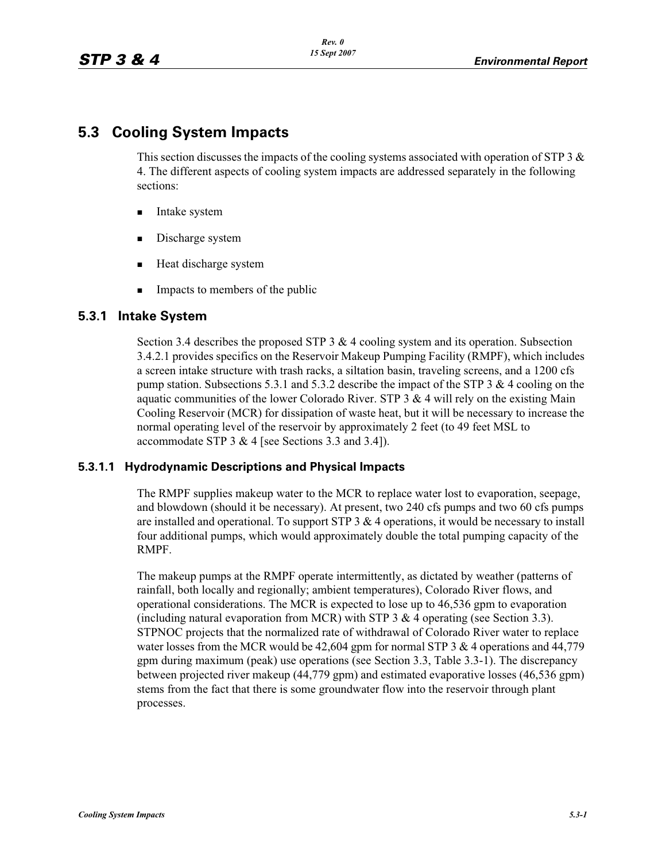# **5.3 Cooling System Impacts**

This section discusses the impacts of the cooling systems associated with operation of STP 3  $\&$ 4. The different aspects of cooling system impacts are addressed separately in the following sections:

- -Intake system
- -Discharge system
- **EXECUTE:** Heat discharge system
- -Impacts to members of the public

## **5.3.1 Intake System**

Section 3.4 describes the proposed STP 3  $\&$  4 cooling system and its operation. Subsection 3.4.2.1 provides specifics on the Reservoir Makeup Pumping Facility (RMPF), which includes a screen intake structure with trash racks, a siltation basin, traveling screens, and a 1200 cfs pump station. Subsections 5.3.1 and 5.3.2 describe the impact of the STP 3  $\&$  4 cooling on the aquatic communities of the lower Colorado River. STP  $3 \& 4$  will rely on the existing Main Cooling Reservoir (MCR) for dissipation of waste heat, but it will be necessary to increase the normal operating level of the reservoir by approximately 2 feet (to 49 feet MSL to accommodate STP 3 & 4 [see Sections 3.3 and 3.4]).

### **5.3.1.1 Hydrodynamic Descriptions and Physical Impacts**

The RMPF supplies makeup water to the MCR to replace water lost to evaporation, seepage, and blowdown (should it be necessary). At present, two 240 cfs pumps and two 60 cfs pumps are installed and operational. To support  $STP_3 \& 4$  operations, it would be necessary to install four additional pumps, which would approximately double the total pumping capacity of the RMPF.

The makeup pumps at the RMPF operate intermittently, as dictated by weather (patterns of rainfall, both locally and regionally; ambient temperatures), Colorado River flows, and operational considerations. The MCR is expected to lose up to 46,536 gpm to evaporation (including natural evaporation from MCR) with STP 3  $\&$  4 operating (see Section 3.3). STPNOC projects that the normalized rate of withdrawal of Colorado River water to replace water losses from the MCR would be 42,604 gpm for normal STP 3 & 4 operations and 44,779 gpm during maximum (peak) use operations (see Section 3.3, Table 3.3-1). The discrepancy between projected river makeup (44,779 gpm) and estimated evaporative losses (46,536 gpm) stems from the fact that there is some groundwater flow into the reservoir through plant processes.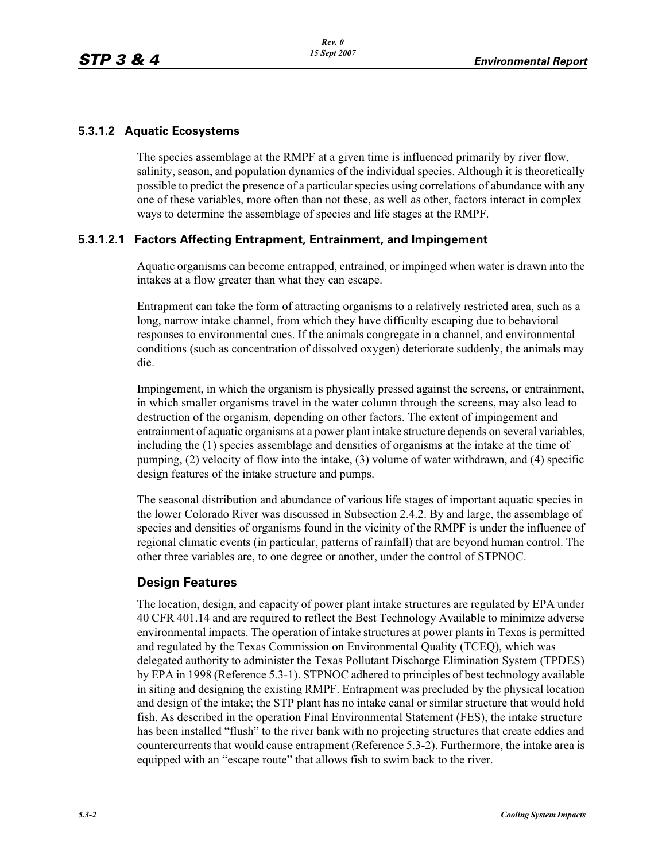### **5.3.1.2 Aquatic Ecosystems**

The species assemblage at the RMPF at a given time is influenced primarily by river flow, salinity, season, and population dynamics of the individual species. Although it is theoretically possible to predict the presence of a particular species using correlations of abundance with any one of these variables, more often than not these, as well as other, factors interact in complex ways to determine the assemblage of species and life stages at the RMPF.

### **5.3.1.2.1 Factors Affecting Entrapment, Entrainment, and Impingement**

Aquatic organisms can become entrapped, entrained, or impinged when water is drawn into the intakes at a flow greater than what they can escape.

Entrapment can take the form of attracting organisms to a relatively restricted area, such as a long, narrow intake channel, from which they have difficulty escaping due to behavioral responses to environmental cues. If the animals congregate in a channel, and environmental conditions (such as concentration of dissolved oxygen) deteriorate suddenly, the animals may die.

Impingement, in which the organism is physically pressed against the screens, or entrainment, in which smaller organisms travel in the water column through the screens, may also lead to destruction of the organism, depending on other factors. The extent of impingement and entrainment of aquatic organisms at a power plant intake structure depends on several variables, including the (1) species assemblage and densities of organisms at the intake at the time of pumping, (2) velocity of flow into the intake, (3) volume of water withdrawn, and (4) specific design features of the intake structure and pumps.

The seasonal distribution and abundance of various life stages of important aquatic species in the lower Colorado River was discussed in Subsection 2.4.2. By and large, the assemblage of species and densities of organisms found in the vicinity of the RMPF is under the influence of regional climatic events (in particular, patterns of rainfall) that are beyond human control. The other three variables are, to one degree or another, under the control of STPNOC.

### **Design Features**

The location, design, and capacity of power plant intake structures are regulated by EPA under 40 CFR 401.14 and are required to reflect the Best Technology Available to minimize adverse environmental impacts. The operation of intake structures at power plants in Texas is permitted and regulated by the Texas Commission on Environmental Quality (TCEQ), which was delegated authority to administer the Texas Pollutant Discharge Elimination System (TPDES) by EPA in 1998 (Reference 5.3-1). STPNOC adhered to principles of best technology available in siting and designing the existing RMPF. Entrapment was precluded by the physical location and design of the intake; the STP plant has no intake canal or similar structure that would hold fish. As described in the operation Final Environmental Statement (FES), the intake structure has been installed "flush" to the river bank with no projecting structures that create eddies and countercurrents that would cause entrapment (Reference 5.3-2). Furthermore, the intake area is equipped with an "escape route" that allows fish to swim back to the river.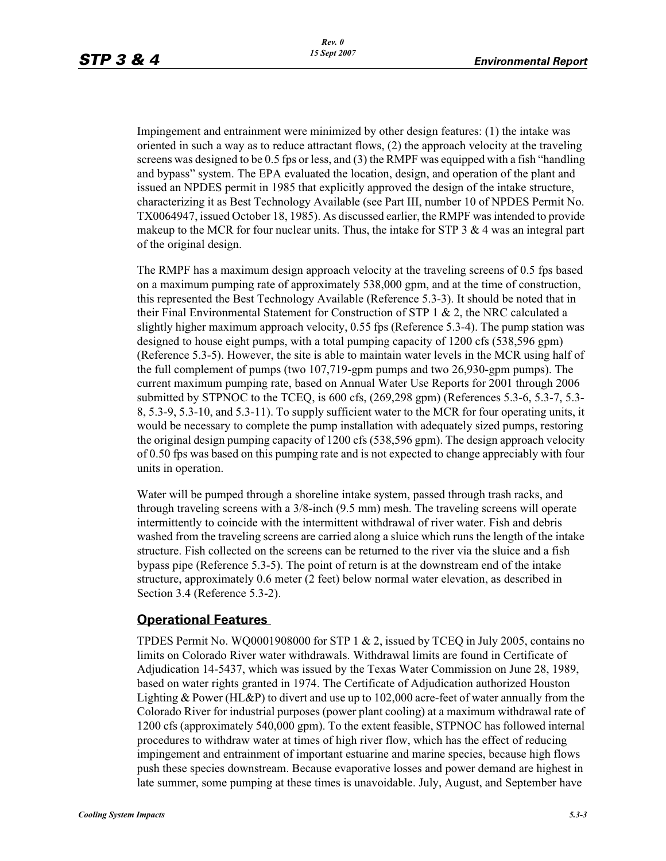Impingement and entrainment were minimized by other design features: (1) the intake was oriented in such a way as to reduce attractant flows, (2) the approach velocity at the traveling screens was designed to be 0.5 fps or less, and (3) the RMPF was equipped with a fish "handling and bypass" system. The EPA evaluated the location, design, and operation of the plant and issued an NPDES permit in 1985 that explicitly approved the design of the intake structure, characterizing it as Best Technology Available (see Part III, number 10 of NPDES Permit No. TX0064947, issued October 18, 1985). As discussed earlier, the RMPF was intended to provide makeup to the MCR for four nuclear units. Thus, the intake for STP  $3 \& 4$  was an integral part of the original design.

The RMPF has a maximum design approach velocity at the traveling screens of 0.5 fps based on a maximum pumping rate of approximately 538,000 gpm, and at the time of construction, this represented the Best Technology Available (Reference 5.3-3). It should be noted that in their Final Environmental Statement for Construction of STP 1  $\&$  2, the NRC calculated a slightly higher maximum approach velocity, 0.55 fps (Reference 5.3-4). The pump station was designed to house eight pumps, with a total pumping capacity of 1200 cfs (538,596 gpm) (Reference 5.3-5). However, the site is able to maintain water levels in the MCR using half of the full complement of pumps (two 107,719-gpm pumps and two 26,930-gpm pumps). The current maximum pumping rate, based on Annual Water Use Reports for 2001 through 2006 submitted by STPNOC to the TCEQ, is 600 cfs, (269,298 gpm) (References 5.3-6, 5.3-7, 5.3- 8, 5.3-9, 5.3-10, and 5.3-11). To supply sufficient water to the MCR for four operating units, it would be necessary to complete the pump installation with adequately sized pumps, restoring the original design pumping capacity of 1200 cfs (538,596 gpm). The design approach velocity of 0.50 fps was based on this pumping rate and is not expected to change appreciably with four units in operation.

Water will be pumped through a shoreline intake system, passed through trash racks, and through traveling screens with a 3/8-inch (9.5 mm) mesh. The traveling screens will operate intermittently to coincide with the intermittent withdrawal of river water. Fish and debris washed from the traveling screens are carried along a sluice which runs the length of the intake structure. Fish collected on the screens can be returned to the river via the sluice and a fish bypass pipe (Reference 5.3-5). The point of return is at the downstream end of the intake structure, approximately 0.6 meter (2 feet) below normal water elevation, as described in Section 3.4 (Reference 5.3-2).

### **Operational Features**

TPDES Permit No. WQ0001908000 for STP  $1 \& 2$ , issued by TCEQ in July 2005, contains no limits on Colorado River water withdrawals. Withdrawal limits are found in Certificate of Adjudication 14-5437, which was issued by the Texas Water Commission on June 28, 1989, based on water rights granted in 1974. The Certificate of Adjudication authorized Houston Lighting & Power (HL&P) to divert and use up to 102,000 acre-feet of water annually from the Colorado River for industrial purposes (power plant cooling) at a maximum withdrawal rate of 1200 cfs (approximately 540,000 gpm). To the extent feasible, STPNOC has followed internal procedures to withdraw water at times of high river flow, which has the effect of reducing impingement and entrainment of important estuarine and marine species, because high flows push these species downstream. Because evaporative losses and power demand are highest in late summer, some pumping at these times is unavoidable. July, August, and September have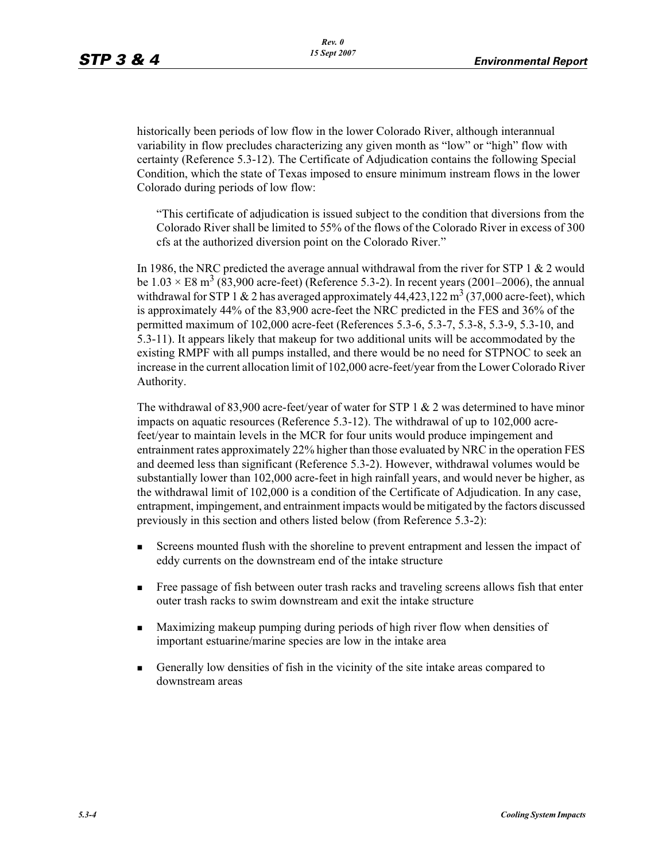historically been periods of low flow in the lower Colorado River, although interannual variability in flow precludes characterizing any given month as "low" or "high" flow with certainty (Reference 5.3-12). The Certificate of Adjudication contains the following Special Condition, which the state of Texas imposed to ensure minimum instream flows in the lower Colorado during periods of low flow:

"This certificate of adjudication is issued subject to the condition that diversions from the Colorado River shall be limited to 55% of the flows of the Colorado River in excess of 300 cfs at the authorized diversion point on the Colorado River."

In 1986, the NRC predicted the average annual withdrawal from the river for STP 1  $\&$  2 would be  $1.03 \times E8$  m<sup>3</sup> (83,900 acre-feet) (Reference 5.3-2). In recent years (2001–2006), the annual withdrawal for STP 1 & 2 has averaged approximately  $44,423,122 \text{ m}^3$  (37,000 acre-feet), which is approximately 44% of the 83,900 acre-feet the NRC predicted in the FES and 36% of the permitted maximum of 102,000 acre-feet (References 5.3-6, 5.3-7, 5.3-8, 5.3-9, 5.3-10, and 5.3-11). It appears likely that makeup for two additional units will be accommodated by the existing RMPF with all pumps installed, and there would be no need for STPNOC to seek an increase in the current allocation limit of 102,000 acre-feet/year from the Lower Colorado River Authority.

The withdrawal of 83,900 acre-feet/year of water for STP 1  $\&$  2 was determined to have minor impacts on aquatic resources (Reference 5.3-12). The withdrawal of up to 102,000 acrefeet/year to maintain levels in the MCR for four units would produce impingement and entrainment rates approximately 22% higher than those evaluated by NRC in the operation FES and deemed less than significant (Reference 5.3-2). However, withdrawal volumes would be substantially lower than 102,000 acre-feet in high rainfall years, and would never be higher, as the withdrawal limit of 102,000 is a condition of the Certificate of Adjudication. In any case, entrapment, impingement, and entrainment impacts would be mitigated by the factors discussed previously in this section and others listed below (from Reference 5.3-2):

- - Screens mounted flush with the shoreline to prevent entrapment and lessen the impact of eddy currents on the downstream end of the intake structure
- - Free passage of fish between outer trash racks and traveling screens allows fish that enter outer trash racks to swim downstream and exit the intake structure
- - Maximizing makeup pumping during periods of high river flow when densities of important estuarine/marine species are low in the intake area
- - Generally low densities of fish in the vicinity of the site intake areas compared to downstream areas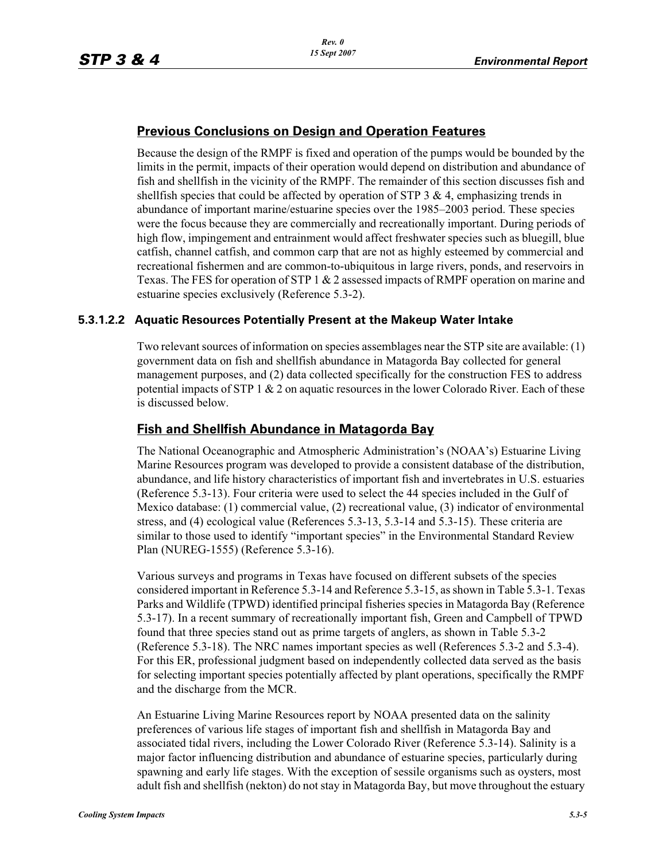## **Previous Conclusions on Design and Operation Features**

Because the design of the RMPF is fixed and operation of the pumps would be bounded by the limits in the permit, impacts of their operation would depend on distribution and abundance of fish and shellfish in the vicinity of the RMPF. The remainder of this section discusses fish and shellfish species that could be affected by operation of STP 3  $\&$  4, emphasizing trends in abundance of important marine/estuarine species over the 1985–2003 period. These species were the focus because they are commercially and recreationally important. During periods of high flow, impingement and entrainment would affect freshwater species such as bluegill, blue catfish, channel catfish, and common carp that are not as highly esteemed by commercial and recreational fishermen and are common-to-ubiquitous in large rivers, ponds, and reservoirs in Texas. The FES for operation of STP 1 & 2 assessed impacts of RMPF operation on marine and estuarine species exclusively (Reference 5.3-2).

### **5.3.1.2.2 Aquatic Resources Potentially Present at the Makeup Water Intake**

Two relevant sources of information on species assemblages near the STP site are available: (1) government data on fish and shellfish abundance in Matagorda Bay collected for general management purposes, and (2) data collected specifically for the construction FES to address potential impacts of STP 1  $& 2$  on aquatic resources in the lower Colorado River. Each of these is discussed below.

## **Fish and Shellfish Abundance in Matagorda Bay**

The National Oceanographic and Atmospheric Administration's (NOAA's) Estuarine Living Marine Resources program was developed to provide a consistent database of the distribution, abundance, and life history characteristics of important fish and invertebrates in U.S. estuaries (Reference 5.3-13). Four criteria were used to select the 44 species included in the Gulf of Mexico database: (1) commercial value, (2) recreational value, (3) indicator of environmental stress, and (4) ecological value (References 5.3-13, 5.3-14 and 5.3-15). These criteria are similar to those used to identify "important species" in the Environmental Standard Review Plan (NUREG-1555) (Reference 5.3-16).

Various surveys and programs in Texas have focused on different subsets of the species considered important in Reference 5.3-14 and Reference 5.3-15, as shown in Table 5.3-1. Texas Parks and Wildlife (TPWD) identified principal fisheries species in Matagorda Bay (Reference 5.3-17). In a recent summary of recreationally important fish, Green and Campbell of TPWD found that three species stand out as prime targets of anglers, as shown in Table 5.3-2 (Reference 5.3-18). The NRC names important species as well (References 5.3-2 and 5.3-4). For this ER, professional judgment based on independently collected data served as the basis for selecting important species potentially affected by plant operations, specifically the RMPF and the discharge from the MCR.

An Estuarine Living Marine Resources report by NOAA presented data on the salinity preferences of various life stages of important fish and shellfish in Matagorda Bay and associated tidal rivers, including the Lower Colorado River (Reference 5.3-14). Salinity is a major factor influencing distribution and abundance of estuarine species, particularly during spawning and early life stages. With the exception of sessile organisms such as oysters, most adult fish and shellfish (nekton) do not stay in Matagorda Bay, but move throughout the estuary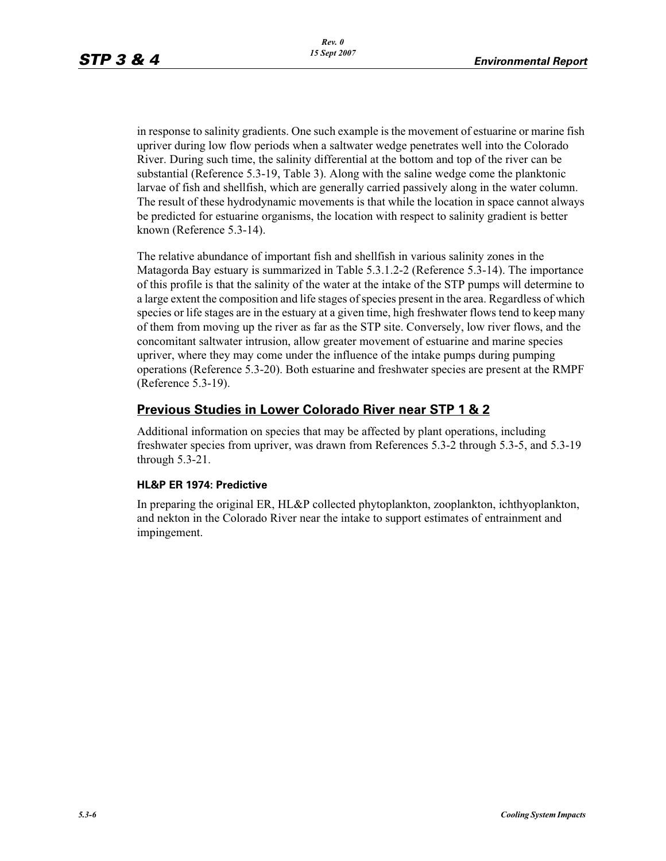in response to salinity gradients. One such example is the movement of estuarine or marine fish upriver during low flow periods when a saltwater wedge penetrates well into the Colorado River. During such time, the salinity differential at the bottom and top of the river can be substantial (Reference 5.3-19, Table 3). Along with the saline wedge come the planktonic larvae of fish and shellfish, which are generally carried passively along in the water column. The result of these hydrodynamic movements is that while the location in space cannot always be predicted for estuarine organisms, the location with respect to salinity gradient is better known (Reference 5.3-14).

The relative abundance of important fish and shellfish in various salinity zones in the Matagorda Bay estuary is summarized in Table 5.3.1.2-2 (Reference 5.3-14). The importance of this profile is that the salinity of the water at the intake of the STP pumps will determine to a large extent the composition and life stages of species present in the area. Regardless of which species or life stages are in the estuary at a given time, high freshwater flows tend to keep many of them from moving up the river as far as the STP site. Conversely, low river flows, and the concomitant saltwater intrusion, allow greater movement of estuarine and marine species upriver, where they may come under the influence of the intake pumps during pumping operations (Reference 5.3-20). Both estuarine and freshwater species are present at the RMPF (Reference 5.3-19).

## **Previous Studies in Lower Colorado River near STP 1 & 2**

Additional information on species that may be affected by plant operations, including freshwater species from upriver, was drawn from References 5.3-2 through 5.3-5, and 5.3-19 through 5.3-21.

### **HL&P ER 1974: Predictive**

In preparing the original ER, HL&P collected phytoplankton, zooplankton, ichthyoplankton, and nekton in the Colorado River near the intake to support estimates of entrainment and impingement.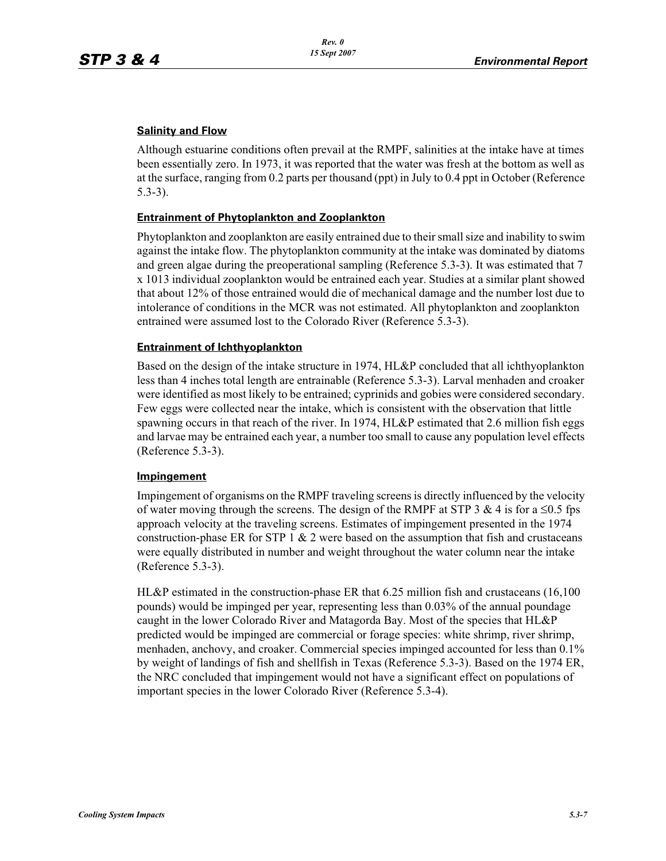### **Salinity and Flow**

Although estuarine conditions often prevail at the RMPF, salinities at the intake have at times been essentially zero. In 1973, it was reported that the water was fresh at the bottom as well as at the surface, ranging from 0.2 parts per thousand (ppt) in July to 0.4 ppt in October (Reference 5.3-3).

### **Entrainment of Phytoplankton and Zooplankton**

Phytoplankton and zooplankton are easily entrained due to their small size and inability to swim against the intake flow. The phytoplankton community at the intake was dominated by diatoms and green algae during the preoperational sampling (Reference 5.3-3). It was estimated that 7 x 1013 individual zooplankton would be entrained each year. Studies at a similar plant showed that about 12% of those entrained would die of mechanical damage and the number lost due to intolerance of conditions in the MCR was not estimated. All phytoplankton and zooplankton entrained were assumed lost to the Colorado River (Reference 5.3-3).

### **Entrainment of Ichthyoplankton**

Based on the design of the intake structure in 1974, HL&P concluded that all ichthyoplankton less than 4 inches total length are entrainable (Reference 5.3-3). Larval menhaden and croaker were identified as most likely to be entrained; cyprinids and gobies were considered secondary. Few eggs were collected near the intake, which is consistent with the observation that little spawning occurs in that reach of the river. In 1974, HL&P estimated that 2.6 million fish eggs and larvae may be entrained each year, a number too small to cause any population level effects (Reference 5.3-3).

### **Impingement**

Impingement of organisms on the RMPF traveling screens is directly influenced by the velocity of water moving through the screens. The design of the RMPF at STP 3 & 4 is for a  $\leq 0.5$  fps approach velocity at the traveling screens. Estimates of impingement presented in the 1974 construction-phase ER for STP 1  $\&$  2 were based on the assumption that fish and crustaceans were equally distributed in number and weight throughout the water column near the intake (Reference 5.3-3).

HL&P estimated in the construction-phase ER that 6.25 million fish and crustaceans (16,100 pounds) would be impinged per year, representing less than 0.03% of the annual poundage caught in the lower Colorado River and Matagorda Bay. Most of the species that HL&P predicted would be impinged are commercial or forage species: white shrimp, river shrimp, menhaden, anchovy, and croaker. Commercial species impinged accounted for less than 0.1% by weight of landings of fish and shellfish in Texas (Reference 5.3-3). Based on the 1974 ER, the NRC concluded that impingement would not have a significant effect on populations of important species in the lower Colorado River (Reference 5.3-4).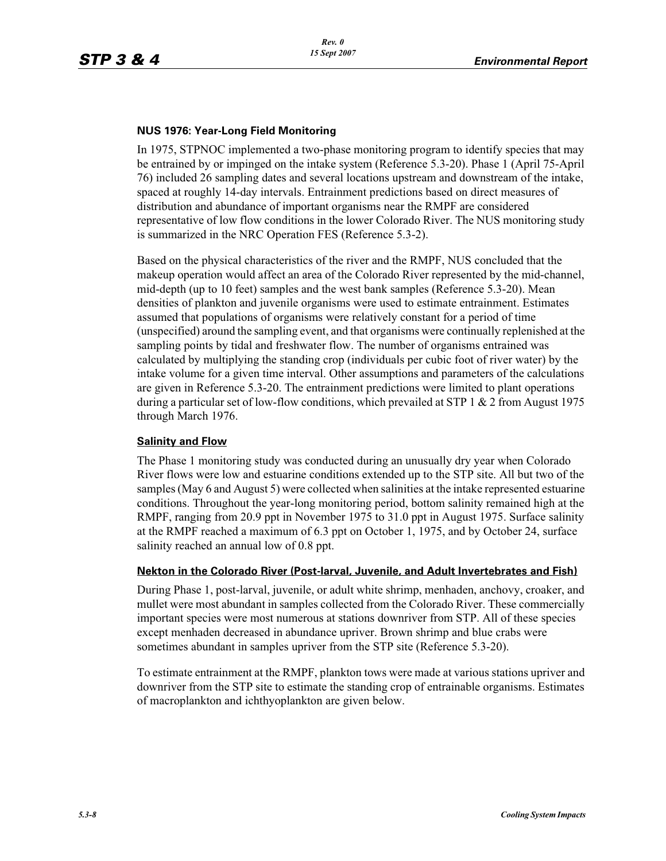### **NUS 1976: Year-Long Field Monitoring**

In 1975, STPNOC implemented a two-phase monitoring program to identify species that may be entrained by or impinged on the intake system (Reference 5.3-20). Phase 1 (April 75-April 76) included 26 sampling dates and several locations upstream and downstream of the intake, spaced at roughly 14-day intervals. Entrainment predictions based on direct measures of distribution and abundance of important organisms near the RMPF are considered representative of low flow conditions in the lower Colorado River. The NUS monitoring study is summarized in the NRC Operation FES (Reference 5.3-2).

Based on the physical characteristics of the river and the RMPF, NUS concluded that the makeup operation would affect an area of the Colorado River represented by the mid-channel, mid-depth (up to 10 feet) samples and the west bank samples (Reference 5.3-20). Mean densities of plankton and juvenile organisms were used to estimate entrainment. Estimates assumed that populations of organisms were relatively constant for a period of time (unspecified) around the sampling event, and that organisms were continually replenished at the sampling points by tidal and freshwater flow. The number of organisms entrained was calculated by multiplying the standing crop (individuals per cubic foot of river water) by the intake volume for a given time interval. Other assumptions and parameters of the calculations are given in Reference 5.3-20. The entrainment predictions were limited to plant operations during a particular set of low-flow conditions, which prevailed at STP 1  $\&$  2 from August 1975 through March 1976.

### **Salinity and Flow**

The Phase 1 monitoring study was conducted during an unusually dry year when Colorado River flows were low and estuarine conditions extended up to the STP site. All but two of the samples (May 6 and August 5) were collected when salinities at the intake represented estuarine conditions. Throughout the year-long monitoring period, bottom salinity remained high at the RMPF, ranging from 20.9 ppt in November 1975 to 31.0 ppt in August 1975. Surface salinity at the RMPF reached a maximum of 6.3 ppt on October 1, 1975, and by October 24, surface salinity reached an annual low of 0.8 ppt.

### **Nekton in the Colorado River (Post-larval, Juvenile, and Adult Invertebrates and Fish)**

During Phase 1, post-larval, juvenile, or adult white shrimp, menhaden, anchovy, croaker, and mullet were most abundant in samples collected from the Colorado River. These commercially important species were most numerous at stations downriver from STP. All of these species except menhaden decreased in abundance upriver. Brown shrimp and blue crabs were sometimes abundant in samples upriver from the STP site (Reference 5.3-20).

To estimate entrainment at the RMPF, plankton tows were made at various stations upriver and downriver from the STP site to estimate the standing crop of entrainable organisms. Estimates of macroplankton and ichthyoplankton are given below.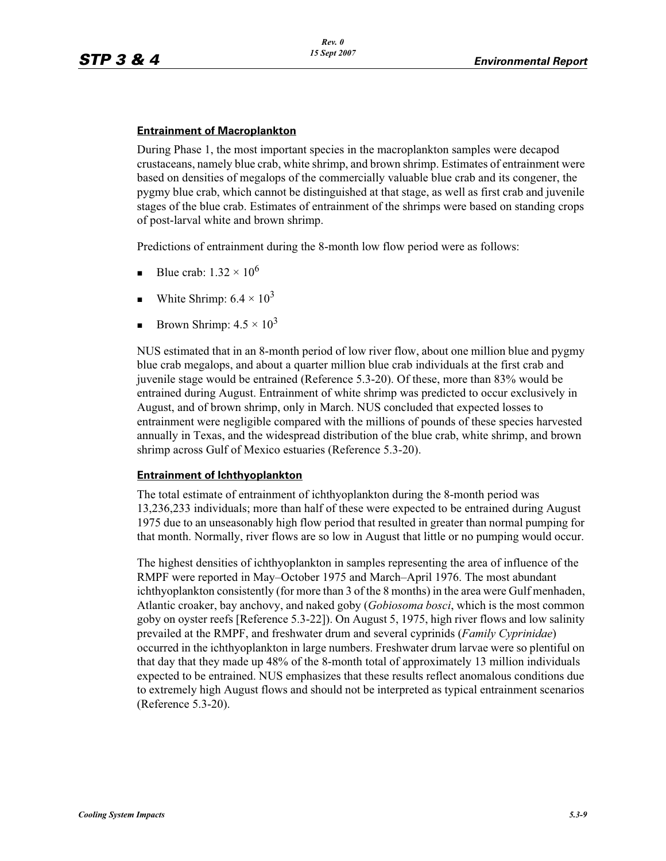#### **Entrainment of Macroplankton**

During Phase 1, the most important species in the macroplankton samples were decapod crustaceans, namely blue crab, white shrimp, and brown shrimp. Estimates of entrainment were based on densities of megalops of the commercially valuable blue crab and its congener, the pygmy blue crab, which cannot be distinguished at that stage, as well as first crab and juvenile stages of the blue crab. Estimates of entrainment of the shrimps were based on standing crops of post-larval white and brown shrimp.

Predictions of entrainment during the 8-month low flow period were as follows:

- -Blue crab:  $1.32 \times 10^6$
- -White Shrimp:  $6.4 \times 10^3$
- -Brown Shrimp:  $4.5 \times 10^3$

NUS estimated that in an 8-month period of low river flow, about one million blue and pygmy blue crab megalops, and about a quarter million blue crab individuals at the first crab and juvenile stage would be entrained (Reference 5.3-20). Of these, more than 83% would be entrained during August. Entrainment of white shrimp was predicted to occur exclusively in August, and of brown shrimp, only in March. NUS concluded that expected losses to entrainment were negligible compared with the millions of pounds of these species harvested annually in Texas, and the widespread distribution of the blue crab, white shrimp, and brown shrimp across Gulf of Mexico estuaries (Reference 5.3-20).

### **Entrainment of Ichthyoplankton**

The total estimate of entrainment of ichthyoplankton during the 8-month period was 13,236,233 individuals; more than half of these were expected to be entrained during August 1975 due to an unseasonably high flow period that resulted in greater than normal pumping for that month. Normally, river flows are so low in August that little or no pumping would occur.

The highest densities of ichthyoplankton in samples representing the area of influence of the RMPF were reported in May–October 1975 and March–April 1976. The most abundant ichthyoplankton consistently (for more than 3 of the 8 months) in the area were Gulf menhaden, Atlantic croaker, bay anchovy, and naked goby (*Gobiosoma bosci*, which is the most common goby on oyster reefs [Reference 5.3-22]). On August 5, 1975, high river flows and low salinity prevailed at the RMPF, and freshwater drum and several cyprinids (*Family Cyprinidae*) occurred in the ichthyoplankton in large numbers. Freshwater drum larvae were so plentiful on that day that they made up 48% of the 8-month total of approximately 13 million individuals expected to be entrained. NUS emphasizes that these results reflect anomalous conditions due to extremely high August flows and should not be interpreted as typical entrainment scenarios (Reference 5.3-20).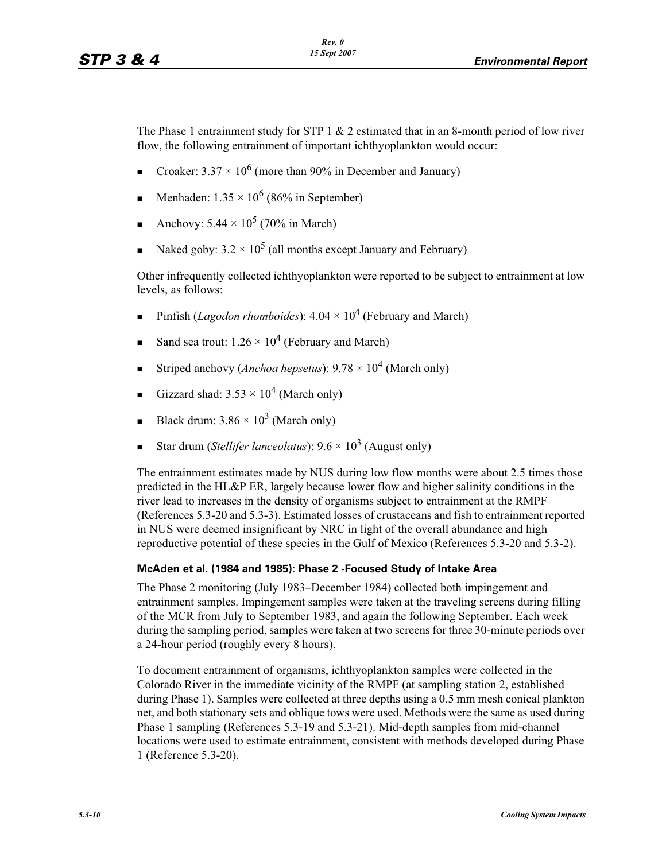The Phase 1 entrainment study for STP  $1 \& 2$  estimated that in an 8-month period of low river flow, the following entrainment of important ichthyoplankton would occur:

- -Croaker:  $3.37 \times 10^6$  (more than 90% in December and January)
- -**Menhaden:**  $1.35 \times 10^6$  (86% in September)
- -Anchovy:  $5.44 \times 10^5$  (70% in March)
- -• Naked goby:  $3.2 \times 10^5$  (all months except January and February)

Other infrequently collected ichthyoplankton were reported to be subject to entrainment at low levels, as follows:

- -Pinfish (*Lagodon rhomboides*):  $4.04 \times 10^4$  (February and March)
- -Sand sea trout:  $1.26 \times 10^4$  (February and March)
- -Striped anchovy (*Anchoa hepsetus*):  $9.78 \times 10^4$  (March only)
- -Gizzard shad:  $3.53 \times 10^4$  (March only)
- -Black drum:  $3.86 \times 10^3$  (March only)
- -Star drum (*Stellifer lanceolatus*):  $9.6 \times 10^3$  (August only)

The entrainment estimates made by NUS during low flow months were about 2.5 times those predicted in the HL&P ER, largely because lower flow and higher salinity conditions in the river lead to increases in the density of organisms subject to entrainment at the RMPF (References 5.3-20 and 5.3-3). Estimated losses of crustaceans and fish to entrainment reported in NUS were deemed insignificant by NRC in light of the overall abundance and high reproductive potential of these species in the Gulf of Mexico (References 5.3-20 and 5.3-2).

### **McAden et al. (1984 and 1985): Phase 2 -Focused Study of Intake Area**

The Phase 2 monitoring (July 1983–December 1984) collected both impingement and entrainment samples. Impingement samples were taken at the traveling screens during filling of the MCR from July to September 1983, and again the following September. Each week during the sampling period, samples were taken at two screens for three 30-minute periods over a 24-hour period (roughly every 8 hours).

To document entrainment of organisms, ichthyoplankton samples were collected in the Colorado River in the immediate vicinity of the RMPF (at sampling station 2, established during Phase 1). Samples were collected at three depths using a 0.5 mm mesh conical plankton net, and both stationary sets and oblique tows were used. Methods were the same as used during Phase 1 sampling (References 5.3-19 and 5.3-21). Mid-depth samples from mid-channel locations were used to estimate entrainment, consistent with methods developed during Phase 1 (Reference 5.3-20).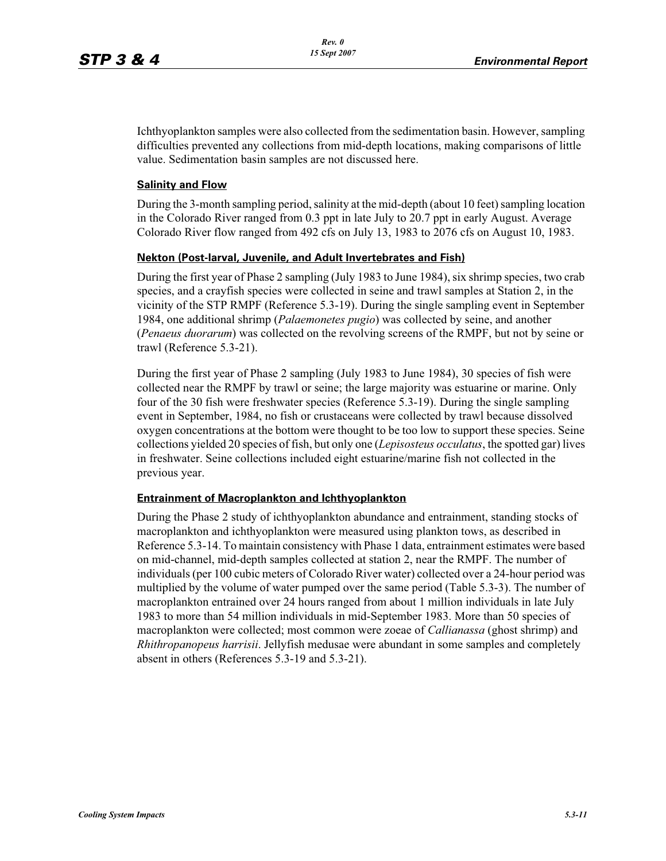Ichthyoplankton samples were also collected from the sedimentation basin. However, sampling difficulties prevented any collections from mid-depth locations, making comparisons of little value. Sedimentation basin samples are not discussed here.

#### **Salinity and Flow**

During the 3-month sampling period, salinity at the mid-depth (about 10 feet) sampling location in the Colorado River ranged from 0.3 ppt in late July to 20.7 ppt in early August. Average Colorado River flow ranged from 492 cfs on July 13, 1983 to 2076 cfs on August 10, 1983.

#### **Nekton (Post-larval, Juvenile, and Adult Invertebrates and Fish)**

During the first year of Phase 2 sampling (July 1983 to June 1984), six shrimp species, two crab species, and a crayfish species were collected in seine and trawl samples at Station 2, in the vicinity of the STP RMPF (Reference 5.3-19). During the single sampling event in September 1984, one additional shrimp (*Palaemonetes pugio*) was collected by seine, and another (*Penaeus duorarum*) was collected on the revolving screens of the RMPF, but not by seine or trawl (Reference 5.3-21).

During the first year of Phase 2 sampling (July 1983 to June 1984), 30 species of fish were collected near the RMPF by trawl or seine; the large majority was estuarine or marine. Only four of the 30 fish were freshwater species (Reference 5.3-19). During the single sampling event in September, 1984, no fish or crustaceans were collected by trawl because dissolved oxygen concentrations at the bottom were thought to be too low to support these species. Seine collections yielded 20 species of fish, but only one (*Lepisosteus occulatus*, the spotted gar) lives in freshwater. Seine collections included eight estuarine/marine fish not collected in the previous year.

#### **Entrainment of Macroplankton and Ichthyoplankton**

During the Phase 2 study of ichthyoplankton abundance and entrainment, standing stocks of macroplankton and ichthyoplankton were measured using plankton tows, as described in Reference 5.3-14. To maintain consistency with Phase 1 data, entrainment estimates were based on mid-channel, mid-depth samples collected at station 2, near the RMPF. The number of individuals (per 100 cubic meters of Colorado River water) collected over a 24-hour period was multiplied by the volume of water pumped over the same period (Table 5.3-3). The number of macroplankton entrained over 24 hours ranged from about 1 million individuals in late July 1983 to more than 54 million individuals in mid-September 1983. More than 50 species of macroplankton were collected; most common were zoeae of *Callianassa* (ghost shrimp) and *Rhithropanopeus harrisii*. Jellyfish medusae were abundant in some samples and completely absent in others (References 5.3-19 and 5.3-21).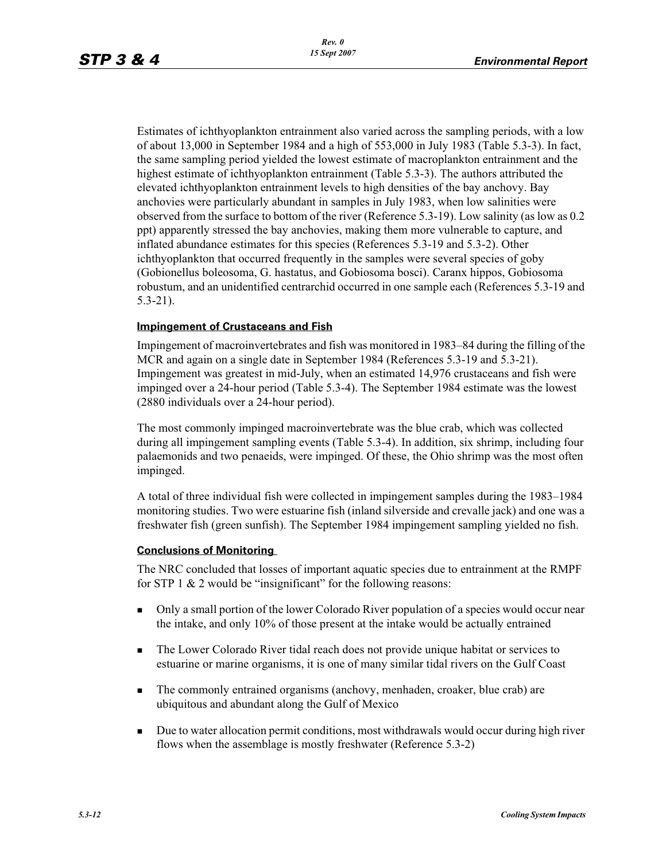Estimates of ichthyoplankton entrainment also varied across the sampling periods, with a low of about 13,000 in September 1984 and a high of 553,000 in July 1983 (Table 5.3-3). In fact, the same sampling period yielded the lowest estimate of macroplankton entrainment and the highest estimate of ichthyoplankton entrainment (Table 5.3-3). The authors attributed the elevated ichthyoplankton entrainment levels to high densities of the bay anchovy. Bay anchovies were particularly abundant in samples in July 1983, when low salinities were observed from the surface to bottom of the river (Reference 5.3-19). Low salinity (as low as 0.2 ppt) apparently stressed the bay anchovies, making them more vulnerable to capture, and inflated abundance estimates for this species (References 5.3-19 and 5.3-2). Other ichthyoplankton that occurred frequently in the samples were several species of goby (Gobionellus boleosoma, G. hastatus, and Gobiosoma bosci). Caranx hippos, Gobiosoma robustum, and an unidentified centrarchid occurred in one sample each (References 5.3-19 and 5.3-21).

#### **Impingement of Crustaceans and Fish**

Impingement of macroinvertebrates and fish was monitored in 1983–84 during the filling of the MCR and again on a single date in September 1984 (References 5.3-19 and 5.3-21). Impingement was greatest in mid-July, when an estimated 14,976 crustaceans and fish were impinged over a 24-hour period (Table 5.3-4). The September 1984 estimate was the lowest (2880 individuals over a 24-hour period).

The most commonly impinged macroinvertebrate was the blue crab, which was collected during all impingement sampling events (Table 5.3-4). In addition, six shrimp, including four palaemonids and two penaeids, were impinged. Of these, the Ohio shrimp was the most often impinged.

A total of three individual fish were collected in impingement samples during the 1983–1984 monitoring studies. Two were estuarine fish (inland silverside and crevalle jack) and one was a freshwater fish (green sunfish). The September 1984 impingement sampling yielded no fish.

#### **Conclusions of Monitoring**

The NRC concluded that losses of important aquatic species due to entrainment at the RMPF for STP 1  $& 2$  would be "insignificant" for the following reasons:

- - Only a small portion of the lower Colorado River population of a species would occur near the intake, and only 10% of those present at the intake would be actually entrained
- - The Lower Colorado River tidal reach does not provide unique habitat or services to estuarine or marine organisms, it is one of many similar tidal rivers on the Gulf Coast
- - The commonly entrained organisms (anchovy, menhaden, croaker, blue crab) are ubiquitous and abundant along the Gulf of Mexico
- - Due to water allocation permit conditions, most withdrawals would occur during high river flows when the assemblage is mostly freshwater (Reference 5.3-2)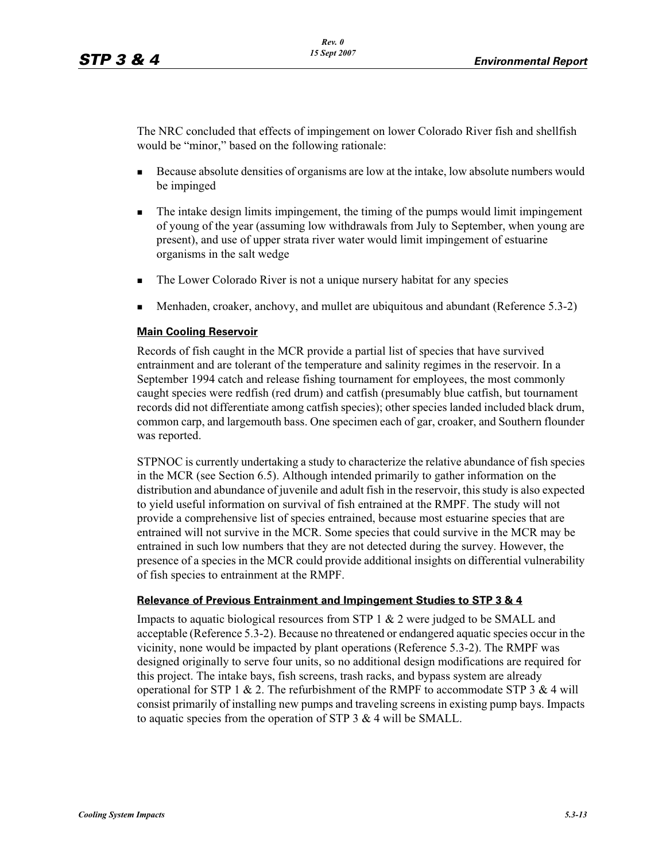The NRC concluded that effects of impingement on lower Colorado River fish and shellfish would be "minor," based on the following rationale:

- - Because absolute densities of organisms are low at the intake, low absolute numbers would be impinged
- - The intake design limits impingement, the timing of the pumps would limit impingement of young of the year (assuming low withdrawals from July to September, when young are present), and use of upper strata river water would limit impingement of estuarine organisms in the salt wedge
- -The Lower Colorado River is not a unique nursery habitat for any species
- -Menhaden, croaker, anchovy, and mullet are ubiquitous and abundant (Reference 5.3-2)

#### **Main Cooling Reservoir**

Records of fish caught in the MCR provide a partial list of species that have survived entrainment and are tolerant of the temperature and salinity regimes in the reservoir. In a September 1994 catch and release fishing tournament for employees, the most commonly caught species were redfish (red drum) and catfish (presumably blue catfish, but tournament records did not differentiate among catfish species); other species landed included black drum, common carp, and largemouth bass. One specimen each of gar, croaker, and Southern flounder was reported.

STPNOC is currently undertaking a study to characterize the relative abundance of fish species in the MCR (see Section 6.5). Although intended primarily to gather information on the distribution and abundance of juvenile and adult fish in the reservoir, this study is also expected to yield useful information on survival of fish entrained at the RMPF. The study will not provide a comprehensive list of species entrained, because most estuarine species that are entrained will not survive in the MCR. Some species that could survive in the MCR may be entrained in such low numbers that they are not detected during the survey. However, the presence of a species in the MCR could provide additional insights on differential vulnerability of fish species to entrainment at the RMPF.

#### **Relevance of Previous Entrainment and Impingement Studies to STP 3 & 4**

Impacts to aquatic biological resources from STP  $1 \& 2$  were judged to be SMALL and acceptable (Reference 5.3-2). Because no threatened or endangered aquatic species occur in the vicinity, none would be impacted by plant operations (Reference 5.3-2). The RMPF was designed originally to serve four units, so no additional design modifications are required for this project. The intake bays, fish screens, trash racks, and bypass system are already operational for STP 1  $\&$  2. The refurbishment of the RMPF to accommodate STP 3  $\&$  4 will consist primarily of installing new pumps and traveling screens in existing pump bays. Impacts to aquatic species from the operation of STP 3 & 4 will be SMALL.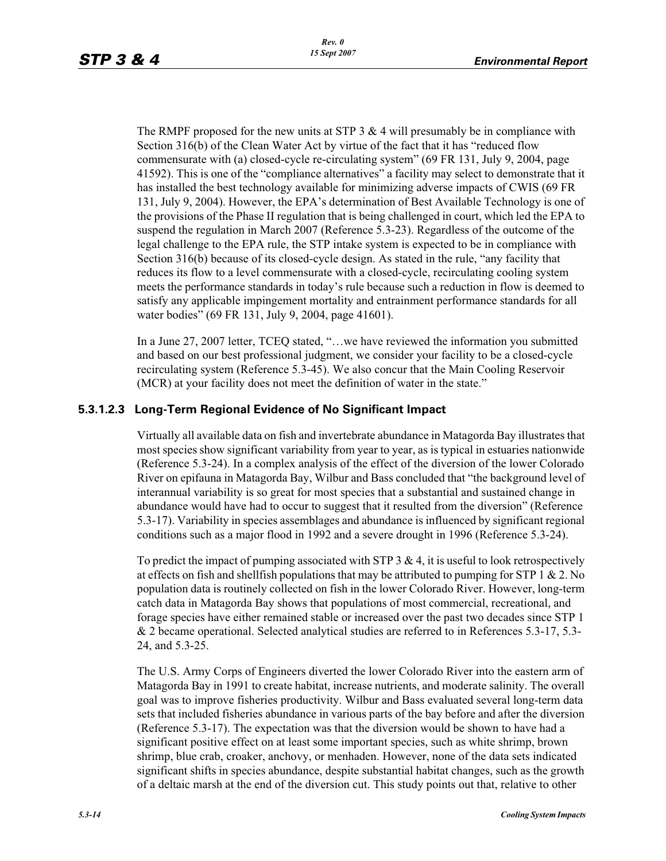The RMPF proposed for the new units at STP 3  $\&$  4 will presumably be in compliance with Section 316(b) of the Clean Water Act by virtue of the fact that it has "reduced flow commensurate with (a) closed-cycle re-circulating system" (69 FR 131, July 9, 2004, page 41592). This is one of the "compliance alternatives" a facility may select to demonstrate that it has installed the best technology available for minimizing adverse impacts of CWIS (69 FR 131, July 9, 2004). However, the EPA's determination of Best Available Technology is one of the provisions of the Phase II regulation that is being challenged in court, which led the EPA to suspend the regulation in March 2007 (Reference 5.3-23). Regardless of the outcome of the legal challenge to the EPA rule, the STP intake system is expected to be in compliance with Section 316(b) because of its closed-cycle design. As stated in the rule, "any facility that reduces its flow to a level commensurate with a closed-cycle, recirculating cooling system meets the performance standards in today's rule because such a reduction in flow is deemed to satisfy any applicable impingement mortality and entrainment performance standards for all water bodies" (69 FR 131, July 9, 2004, page 41601).

In a June 27, 2007 letter, TCEQ stated, "…we have reviewed the information you submitted and based on our best professional judgment, we consider your facility to be a closed-cycle recirculating system (Reference 5.3-45). We also concur that the Main Cooling Reservoir (MCR) at your facility does not meet the definition of water in the state."

## **5.3.1.2.3 Long-Term Regional Evidence of No Significant Impact**

Virtually all available data on fish and invertebrate abundance in Matagorda Bay illustrates that most species show significant variability from year to year, as is typical in estuaries nationwide (Reference 5.3-24). In a complex analysis of the effect of the diversion of the lower Colorado River on epifauna in Matagorda Bay, Wilbur and Bass concluded that "the background level of interannual variability is so great for most species that a substantial and sustained change in abundance would have had to occur to suggest that it resulted from the diversion" (Reference 5.3-17). Variability in species assemblages and abundance is influenced by significant regional conditions such as a major flood in 1992 and a severe drought in 1996 (Reference 5.3-24).

To predict the impact of pumping associated with STP  $3 \& 4$ , it is useful to look retrospectively at effects on fish and shellfish populations that may be attributed to pumping for STP  $1 \& 2$ . No population data is routinely collected on fish in the lower Colorado River. However, long-term catch data in Matagorda Bay shows that populations of most commercial, recreational, and forage species have either remained stable or increased over the past two decades since STP 1 & 2 became operational. Selected analytical studies are referred to in References 5.3-17, 5.3- 24, and 5.3-25.

The U.S. Army Corps of Engineers diverted the lower Colorado River into the eastern arm of Matagorda Bay in 1991 to create habitat, increase nutrients, and moderate salinity. The overall goal was to improve fisheries productivity. Wilbur and Bass evaluated several long-term data sets that included fisheries abundance in various parts of the bay before and after the diversion (Reference 5.3-17). The expectation was that the diversion would be shown to have had a significant positive effect on at least some important species, such as white shrimp, brown shrimp, blue crab, croaker, anchovy, or menhaden. However, none of the data sets indicated significant shifts in species abundance, despite substantial habitat changes, such as the growth of a deltaic marsh at the end of the diversion cut. This study points out that, relative to other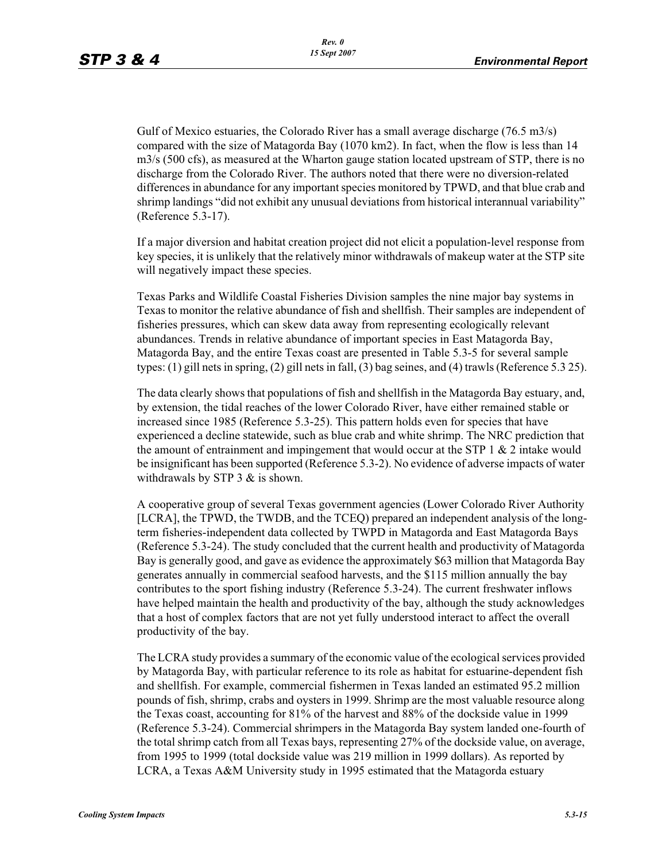Gulf of Mexico estuaries, the Colorado River has a small average discharge (76.5 m3/s) compared with the size of Matagorda Bay (1070 km2). In fact, when the flow is less than 14 m3/s (500 cfs), as measured at the Wharton gauge station located upstream of STP, there is no discharge from the Colorado River. The authors noted that there were no diversion-related differences in abundance for any important species monitored by TPWD, and that blue crab and shrimp landings "did not exhibit any unusual deviations from historical interannual variability" (Reference 5.3-17).

If a major diversion and habitat creation project did not elicit a population-level response from key species, it is unlikely that the relatively minor withdrawals of makeup water at the STP site will negatively impact these species.

Texas Parks and Wildlife Coastal Fisheries Division samples the nine major bay systems in Texas to monitor the relative abundance of fish and shellfish. Their samples are independent of fisheries pressures, which can skew data away from representing ecologically relevant abundances. Trends in relative abundance of important species in East Matagorda Bay, Matagorda Bay, and the entire Texas coast are presented in Table 5.3-5 for several sample types: (1) gill nets in spring, (2) gill nets in fall, (3) bag seines, and (4) trawls (Reference 5.3 25).

The data clearly shows that populations of fish and shellfish in the Matagorda Bay estuary, and, by extension, the tidal reaches of the lower Colorado River, have either remained stable or increased since 1985 (Reference 5.3-25). This pattern holds even for species that have experienced a decline statewide, such as blue crab and white shrimp. The NRC prediction that the amount of entrainment and impingement that would occur at the STP  $1 \& 2$  intake would be insignificant has been supported (Reference 5.3-2). No evidence of adverse impacts of water withdrawals by STP  $3 &$  is shown.

A cooperative group of several Texas government agencies (Lower Colorado River Authority [LCRA], the TPWD, the TWDB, and the TCEQ) prepared an independent analysis of the longterm fisheries-independent data collected by TWPD in Matagorda and East Matagorda Bays (Reference 5.3-24). The study concluded that the current health and productivity of Matagorda Bay is generally good, and gave as evidence the approximately \$63 million that Matagorda Bay generates annually in commercial seafood harvests, and the \$115 million annually the bay contributes to the sport fishing industry (Reference 5.3-24). The current freshwater inflows have helped maintain the health and productivity of the bay, although the study acknowledges that a host of complex factors that are not yet fully understood interact to affect the overall productivity of the bay.

The LCRA study provides a summary of the economic value of the ecological services provided by Matagorda Bay, with particular reference to its role as habitat for estuarine-dependent fish and shellfish. For example, commercial fishermen in Texas landed an estimated 95.2 million pounds of fish, shrimp, crabs and oysters in 1999. Shrimp are the most valuable resource along the Texas coast, accounting for 81% of the harvest and 88% of the dockside value in 1999 (Reference 5.3-24). Commercial shrimpers in the Matagorda Bay system landed one-fourth of the total shrimp catch from all Texas bays, representing 27% of the dockside value, on average, from 1995 to 1999 (total dockside value was 219 million in 1999 dollars). As reported by LCRA, a Texas A&M University study in 1995 estimated that the Matagorda estuary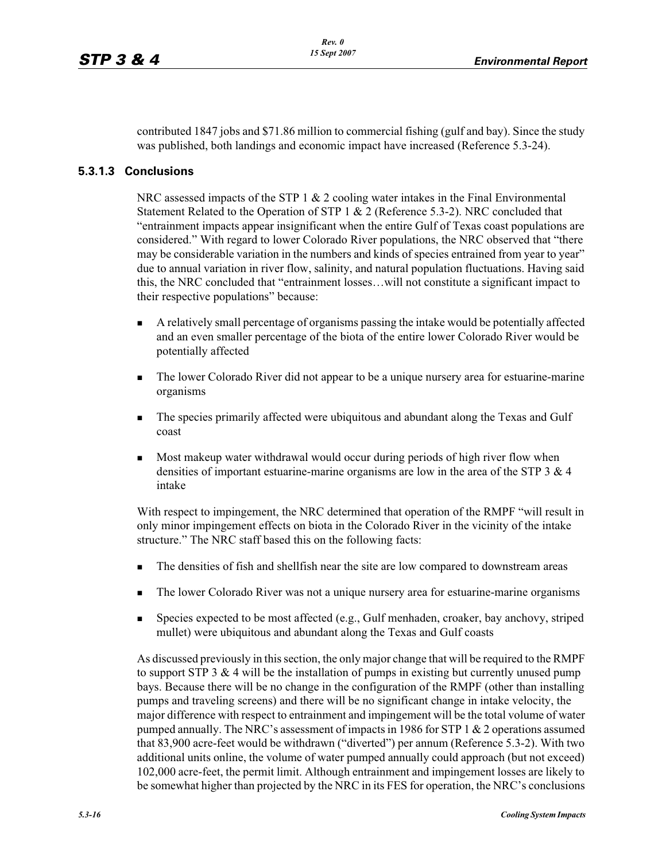contributed 1847 jobs and \$71.86 million to commercial fishing (gulf and bay). Since the study was published, both landings and economic impact have increased (Reference 5.3-24).

### **5.3.1.3 Conclusions**

NRC assessed impacts of the STP 1  $& 2$  cooling water intakes in the Final Environmental Statement Related to the Operation of STP 1 & 2 (Reference 5.3-2). NRC concluded that "entrainment impacts appear insignificant when the entire Gulf of Texas coast populations are considered." With regard to lower Colorado River populations, the NRC observed that "there may be considerable variation in the numbers and kinds of species entrained from year to year" due to annual variation in river flow, salinity, and natural population fluctuations. Having said this, the NRC concluded that "entrainment losses…will not constitute a significant impact to their respective populations" because:

- - A relatively small percentage of organisms passing the intake would be potentially affected and an even smaller percentage of the biota of the entire lower Colorado River would be potentially affected
- - The lower Colorado River did not appear to be a unique nursery area for estuarine-marine organisms
- - The species primarily affected were ubiquitous and abundant along the Texas and Gulf coast
- - Most makeup water withdrawal would occur during periods of high river flow when densities of important estuarine-marine organisms are low in the area of the STP  $3 \& 4$ intake

With respect to impingement, the NRC determined that operation of the RMPF "will result in only minor impingement effects on biota in the Colorado River in the vicinity of the intake structure." The NRC staff based this on the following facts:

- -The densities of fish and shellfish near the site are low compared to downstream areas
- -The lower Colorado River was not a unique nursery area for estuarine-marine organisms
- - Species expected to be most affected (e.g., Gulf menhaden, croaker, bay anchovy, striped mullet) were ubiquitous and abundant along the Texas and Gulf coasts

As discussed previously in this section, the only major change that will be required to the RMPF to support STP 3  $\&$  4 will be the installation of pumps in existing but currently unused pump bays. Because there will be no change in the configuration of the RMPF (other than installing pumps and traveling screens) and there will be no significant change in intake velocity, the major difference with respect to entrainment and impingement will be the total volume of water pumped annually. The NRC's assessment of impacts in 1986 for STP 1 & 2 operations assumed that 83,900 acre-feet would be withdrawn ("diverted") per annum (Reference 5.3-2). With two additional units online, the volume of water pumped annually could approach (but not exceed) 102,000 acre-feet, the permit limit. Although entrainment and impingement losses are likely to be somewhat higher than projected by the NRC in its FES for operation, the NRC's conclusions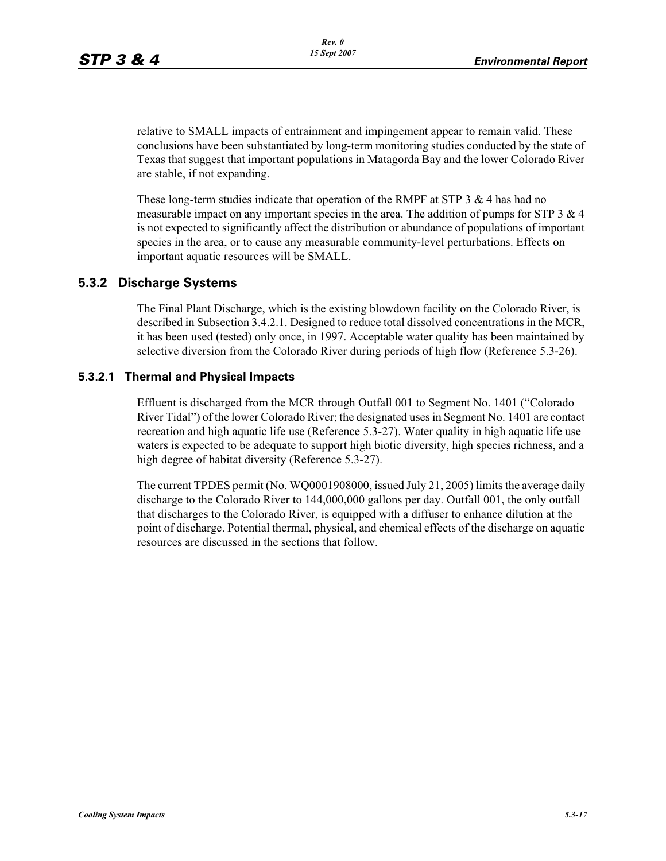relative to SMALL impacts of entrainment and impingement appear to remain valid. These conclusions have been substantiated by long-term monitoring studies conducted by the state of Texas that suggest that important populations in Matagorda Bay and the lower Colorado River are stable, if not expanding.

These long-term studies indicate that operation of the RMPF at STP 3  $\&$  4 has had no measurable impact on any important species in the area. The addition of pumps for STP  $3 \& 4$ is not expected to significantly affect the distribution or abundance of populations of important species in the area, or to cause any measurable community-level perturbations. Effects on important aquatic resources will be SMALL.

## **5.3.2 Discharge Systems**

The Final Plant Discharge, which is the existing blowdown facility on the Colorado River, is described in Subsection 3.4.2.1. Designed to reduce total dissolved concentrations in the MCR, it has been used (tested) only once, in 1997. Acceptable water quality has been maintained by selective diversion from the Colorado River during periods of high flow (Reference 5.3-26).

### **5.3.2.1 Thermal and Physical Impacts**

Effluent is discharged from the MCR through Outfall 001 to Segment No. 1401 ("Colorado River Tidal") of the lower Colorado River; the designated uses in Segment No. 1401 are contact recreation and high aquatic life use (Reference 5.3-27). Water quality in high aquatic life use waters is expected to be adequate to support high biotic diversity, high species richness, and a high degree of habitat diversity (Reference 5.3-27).

The current TPDES permit (No. WQ0001908000, issued July 21, 2005) limits the average daily discharge to the Colorado River to 144,000,000 gallons per day. Outfall 001, the only outfall that discharges to the Colorado River, is equipped with a diffuser to enhance dilution at the point of discharge. Potential thermal, physical, and chemical effects of the discharge on aquatic resources are discussed in the sections that follow.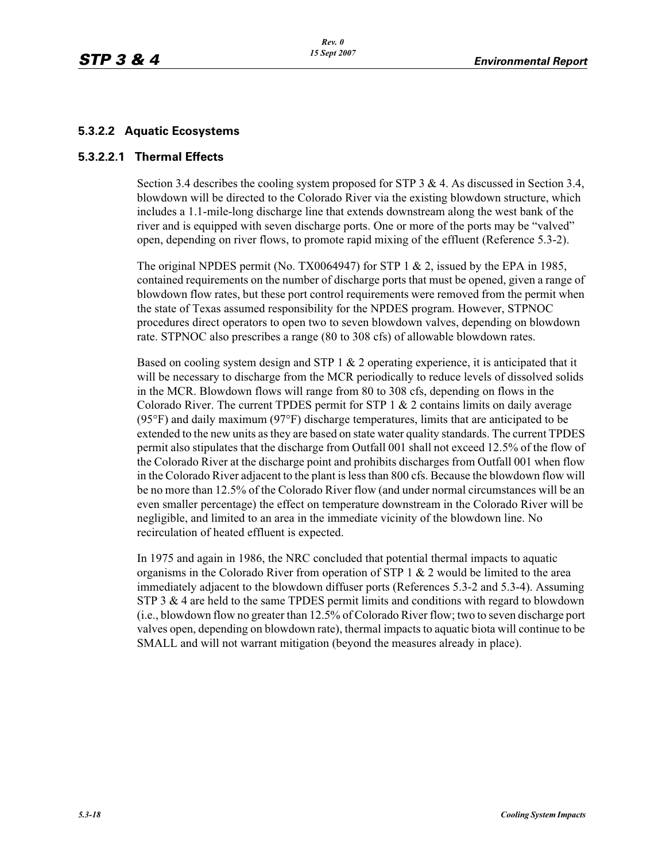## **5.3.2.2 Aquatic Ecosystems**

### **5.3.2.2.1 Thermal Effects**

Section 3.4 describes the cooling system proposed for STP 3 & 4. As discussed in Section 3.4, blowdown will be directed to the Colorado River via the existing blowdown structure, which includes a 1.1-mile-long discharge line that extends downstream along the west bank of the river and is equipped with seven discharge ports. One or more of the ports may be "valved" open, depending on river flows, to promote rapid mixing of the effluent (Reference 5.3-2).

The original NPDES permit (No. TX0064947) for STP 1  $\&$  2, issued by the EPA in 1985, contained requirements on the number of discharge ports that must be opened, given a range of blowdown flow rates, but these port control requirements were removed from the permit when the state of Texas assumed responsibility for the NPDES program. However, STPNOC procedures direct operators to open two to seven blowdown valves, depending on blowdown rate. STPNOC also prescribes a range (80 to 308 cfs) of allowable blowdown rates.

Based on cooling system design and STP  $1 \& 2$  operating experience, it is anticipated that it will be necessary to discharge from the MCR periodically to reduce levels of dissolved solids in the MCR. Blowdown flows will range from 80 to 308 cfs, depending on flows in the Colorado River. The current TPDES permit for STP  $1 \& 2$  contains limits on daily average (95°F) and daily maximum (97°F) discharge temperatures, limits that are anticipated to be extended to the new units as they are based on state water quality standards. The current TPDES permit also stipulates that the discharge from Outfall 001 shall not exceed 12.5% of the flow of the Colorado River at the discharge point and prohibits discharges from Outfall 001 when flow in the Colorado River adjacent to the plant is less than 800 cfs. Because the blowdown flow will be no more than 12.5% of the Colorado River flow (and under normal circumstances will be an even smaller percentage) the effect on temperature downstream in the Colorado River will be negligible, and limited to an area in the immediate vicinity of the blowdown line. No recirculation of heated effluent is expected.

In 1975 and again in 1986, the NRC concluded that potential thermal impacts to aquatic organisms in the Colorado River from operation of STP  $1 \& 2$  would be limited to the area immediately adjacent to the blowdown diffuser ports (References 5.3-2 and 5.3-4). Assuming STP 3 & 4 are held to the same TPDES permit limits and conditions with regard to blowdown (i.e., blowdown flow no greater than 12.5% of Colorado River flow; two to seven discharge port valves open, depending on blowdown rate), thermal impacts to aquatic biota will continue to be SMALL and will not warrant mitigation (beyond the measures already in place).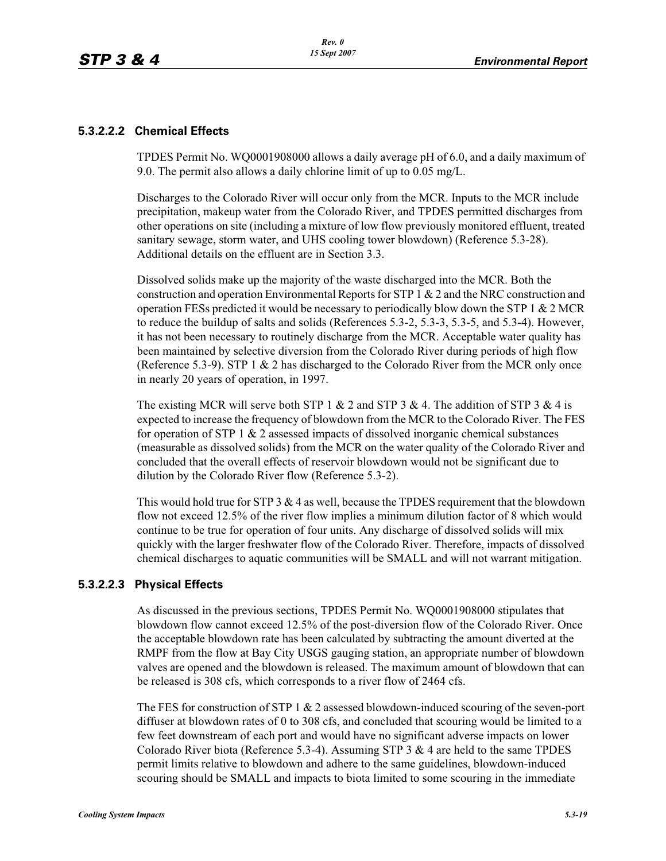### **5.3.2.2.2 Chemical Effects**

TPDES Permit No. WQ0001908000 allows a daily average pH of 6.0, and a daily maximum of 9.0. The permit also allows a daily chlorine limit of up to 0.05 mg/L.

Discharges to the Colorado River will occur only from the MCR. Inputs to the MCR include precipitation, makeup water from the Colorado River, and TPDES permitted discharges from other operations on site (including a mixture of low flow previously monitored effluent, treated sanitary sewage, storm water, and UHS cooling tower blowdown) (Reference 5.3-28). Additional details on the effluent are in Section 3.3.

Dissolved solids make up the majority of the waste discharged into the MCR. Both the construction and operation Environmental Reports for STP 1 & 2 and the NRC construction and operation FESs predicted it would be necessary to periodically blow down the STP 1 & 2 MCR to reduce the buildup of salts and solids (References 5.3-2, 5.3-3, 5.3-5, and 5.3-4). However, it has not been necessary to routinely discharge from the MCR. Acceptable water quality has been maintained by selective diversion from the Colorado River during periods of high flow (Reference 5.3-9). STP 1 & 2 has discharged to the Colorado River from the MCR only once in nearly 20 years of operation, in 1997.

The existing MCR will serve both STP 1  $\&$  2 and STP 3  $\&$  4. The addition of STP 3  $\&$  4 is expected to increase the frequency of blowdown from the MCR to the Colorado River. The FES for operation of STP 1  $\&$  2 assessed impacts of dissolved inorganic chemical substances (measurable as dissolved solids) from the MCR on the water quality of the Colorado River and concluded that the overall effects of reservoir blowdown would not be significant due to dilution by the Colorado River flow (Reference 5.3-2).

This would hold true for STP  $3 \& 4$  as well, because the TPDES requirement that the blowdown flow not exceed 12.5% of the river flow implies a minimum dilution factor of 8 which would continue to be true for operation of four units. Any discharge of dissolved solids will mix quickly with the larger freshwater flow of the Colorado River. Therefore, impacts of dissolved chemical discharges to aquatic communities will be SMALL and will not warrant mitigation.

### **5.3.2.2.3 Physical Effects**

As discussed in the previous sections, TPDES Permit No. WQ0001908000 stipulates that blowdown flow cannot exceed 12.5% of the post-diversion flow of the Colorado River. Once the acceptable blowdown rate has been calculated by subtracting the amount diverted at the RMPF from the flow at Bay City USGS gauging station, an appropriate number of blowdown valves are opened and the blowdown is released. The maximum amount of blowdown that can be released is 308 cfs, which corresponds to a river flow of 2464 cfs.

The FES for construction of STP 1  $& 2$  assessed blowdown-induced scouring of the seven-port diffuser at blowdown rates of 0 to 308 cfs, and concluded that scouring would be limited to a few feet downstream of each port and would have no significant adverse impacts on lower Colorado River biota (Reference 5.3-4). Assuming STP 3  $\&$  4 are held to the same TPDES permit limits relative to blowdown and adhere to the same guidelines, blowdown-induced scouring should be SMALL and impacts to biota limited to some scouring in the immediate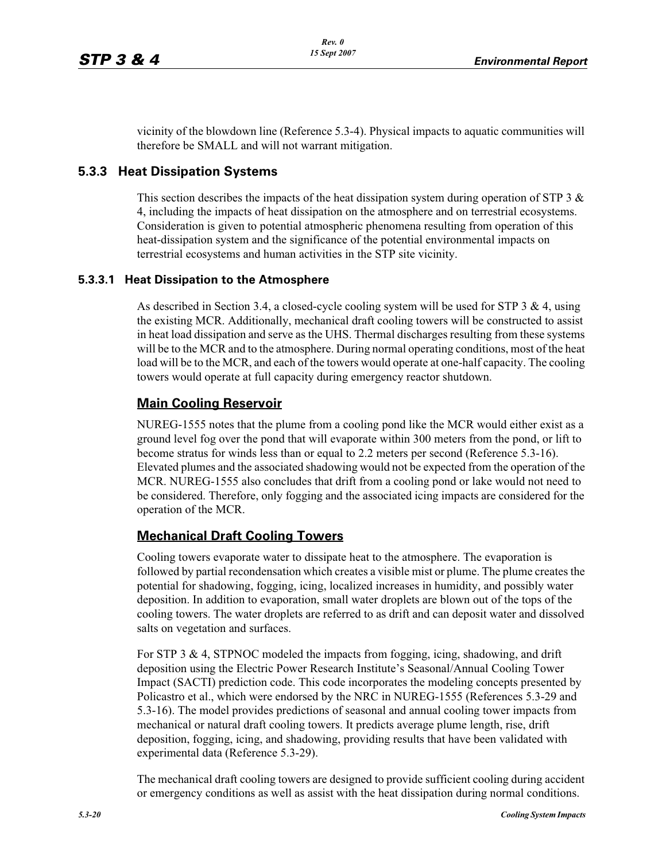vicinity of the blowdown line (Reference 5.3-4). Physical impacts to aquatic communities will therefore be SMALL and will not warrant mitigation.

## **5.3.3 Heat Dissipation Systems**

This section describes the impacts of the heat dissipation system during operation of STP 3  $\&$ 4, including the impacts of heat dissipation on the atmosphere and on terrestrial ecosystems. Consideration is given to potential atmospheric phenomena resulting from operation of this heat-dissipation system and the significance of the potential environmental impacts on terrestrial ecosystems and human activities in the STP site vicinity.

### **5.3.3.1 Heat Dissipation to the Atmosphere**

As described in Section 3.4, a closed-cycle cooling system will be used for STP  $3 \& 4$ , using the existing MCR. Additionally, mechanical draft cooling towers will be constructed to assist in heat load dissipation and serve as the UHS. Thermal discharges resulting from these systems will be to the MCR and to the atmosphere. During normal operating conditions, most of the heat load will be to the MCR, and each of the towers would operate at one-half capacity. The cooling towers would operate at full capacity during emergency reactor shutdown.

## **Main Cooling Reservoir**

NUREG-1555 notes that the plume from a cooling pond like the MCR would either exist as a ground level fog over the pond that will evaporate within 300 meters from the pond, or lift to become stratus for winds less than or equal to 2.2 meters per second (Reference 5.3-16). Elevated plumes and the associated shadowing would not be expected from the operation of the MCR. NUREG-1555 also concludes that drift from a cooling pond or lake would not need to be considered. Therefore, only fogging and the associated icing impacts are considered for the operation of the MCR.

## **Mechanical Draft Cooling Towers**

Cooling towers evaporate water to dissipate heat to the atmosphere. The evaporation is followed by partial recondensation which creates a visible mist or plume. The plume creates the potential for shadowing, fogging, icing, localized increases in humidity, and possibly water deposition. In addition to evaporation, small water droplets are blown out of the tops of the cooling towers. The water droplets are referred to as drift and can deposit water and dissolved salts on vegetation and surfaces.

For STP 3  $\&$  4, STPNOC modeled the impacts from fogging, icing, shadowing, and drift deposition using the Electric Power Research Institute's Seasonal/Annual Cooling Tower Impact (SACTI) prediction code. This code incorporates the modeling concepts presented by Policastro et al., which were endorsed by the NRC in NUREG-1555 (References 5.3-29 and 5.3-16). The model provides predictions of seasonal and annual cooling tower impacts from mechanical or natural draft cooling towers. It predicts average plume length, rise, drift deposition, fogging, icing, and shadowing, providing results that have been validated with experimental data (Reference 5.3-29).

The mechanical draft cooling towers are designed to provide sufficient cooling during accident or emergency conditions as well as assist with the heat dissipation during normal conditions.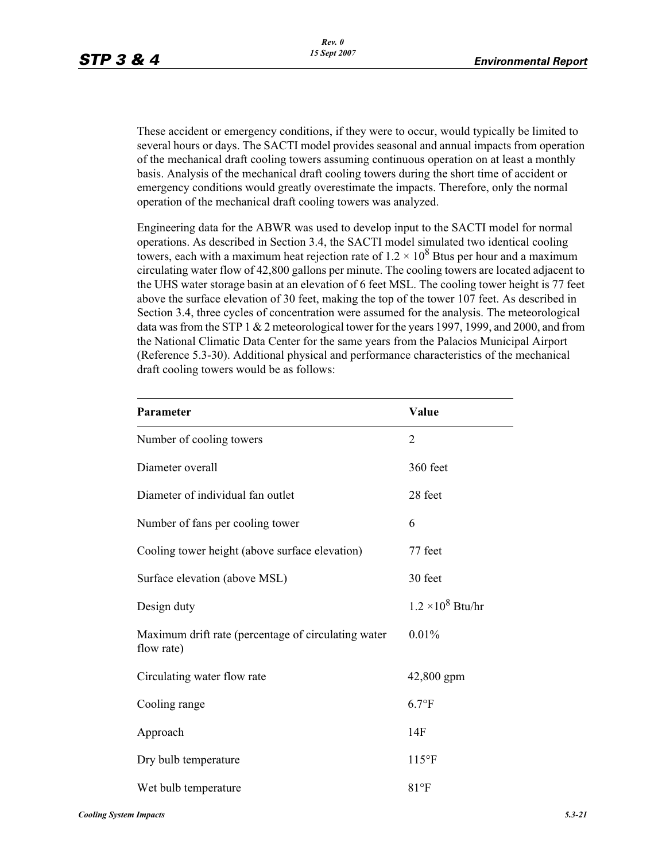These accident or emergency conditions, if they were to occur, would typically be limited to several hours or days. The SACTI model provides seasonal and annual impacts from operation of the mechanical draft cooling towers assuming continuous operation on at least a monthly basis. Analysis of the mechanical draft cooling towers during the short time of accident or emergency conditions would greatly overestimate the impacts. Therefore, only the normal operation of the mechanical draft cooling towers was analyzed.

Engineering data for the ABWR was used to develop input to the SACTI model for normal operations. As described in Section 3.4, the SACTI model simulated two identical cooling towers, each with a maximum heat rejection rate of  $1.2 \times 10^8$  Btus per hour and a maximum circulating water flow of 42,800 gallons per minute. The cooling towers are located adjacent to the UHS water storage basin at an elevation of 6 feet MSL. The cooling tower height is 77 feet above the surface elevation of 30 feet, making the top of the tower 107 feet. As described in Section 3.4, three cycles of concentration were assumed for the analysis. The meteorological data was from the STP 1  $& 2$  meteorological tower for the years 1997, 1999, and 2000, and from the National Climatic Data Center for the same years from the Palacios Municipal Airport (Reference 5.3-30). Additional physical and performance characteristics of the mechanical draft cooling towers would be as follows:

| Parameter                                                         | Value                    |
|-------------------------------------------------------------------|--------------------------|
| Number of cooling towers                                          | $\overline{2}$           |
| Diameter overall                                                  | 360 feet                 |
| Diameter of individual fan outlet                                 | 28 feet                  |
| Number of fans per cooling tower                                  | 6                        |
| Cooling tower height (above surface elevation)                    | 77 feet                  |
| Surface elevation (above MSL)                                     | 30 feet                  |
| Design duty                                                       | $1.2 \times 10^8$ Btu/hr |
| Maximum drift rate (percentage of circulating water<br>flow rate) | 0.01%                    |
| Circulating water flow rate                                       | 42,800 gpm               |
| Cooling range                                                     | $6.7$ °F                 |
| Approach                                                          | 14F                      |
| Dry bulb temperature                                              | $115$ °F                 |
| Wet bulb temperature                                              | $81^{\circ}F$            |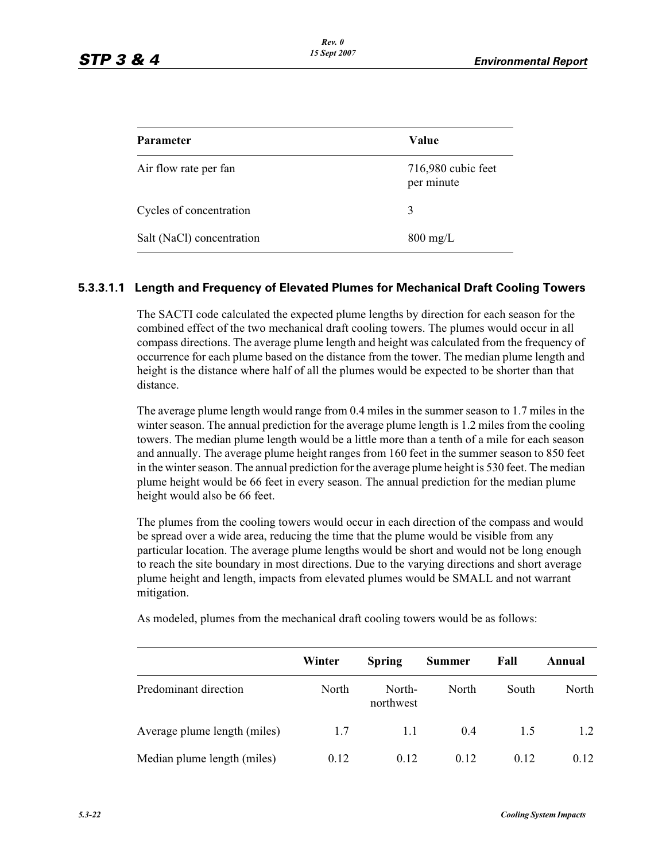| <b>Parameter</b>          | Value                            |
|---------------------------|----------------------------------|
| Air flow rate per fan     | 716,980 cubic feet<br>per minute |
| Cycles of concentration   | 3                                |
| Salt (NaCl) concentration | $800 \text{ mg/L}$               |

### **5.3.3.1.1 Length and Frequency of Elevated Plumes for Mechanical Draft Cooling Towers**

The SACTI code calculated the expected plume lengths by direction for each season for the combined effect of the two mechanical draft cooling towers. The plumes would occur in all compass directions. The average plume length and height was calculated from the frequency of occurrence for each plume based on the distance from the tower. The median plume length and height is the distance where half of all the plumes would be expected to be shorter than that distance.

The average plume length would range from 0.4 miles in the summer season to 1.7 miles in the winter season. The annual prediction for the average plume length is 1.2 miles from the cooling towers. The median plume length would be a little more than a tenth of a mile for each season and annually. The average plume height ranges from 160 feet in the summer season to 850 feet in the winter season. The annual prediction for the average plume height is 530 feet. The median plume height would be 66 feet in every season. The annual prediction for the median plume height would also be 66 feet.

The plumes from the cooling towers would occur in each direction of the compass and would be spread over a wide area, reducing the time that the plume would be visible from any particular location. The average plume lengths would be short and would not be long enough to reach the site boundary in most directions. Due to the varying directions and short average plume height and length, impacts from elevated plumes would be SMALL and not warrant mitigation.

|                              | Winter | <b>Spring</b>       | <b>Summer</b> | Fall  | Annual |
|------------------------------|--------|---------------------|---------------|-------|--------|
| Predominant direction        | North  | North-<br>northwest | North         | South | North  |
| Average plume length (miles) | 1.7    | 1.1                 | 0.4           | 1.5   | 1.2    |
| Median plume length (miles)  | 0.12   | 0.12                | 0.12          | 0.12  | 0.12   |

As modeled, plumes from the mechanical draft cooling towers would be as follows: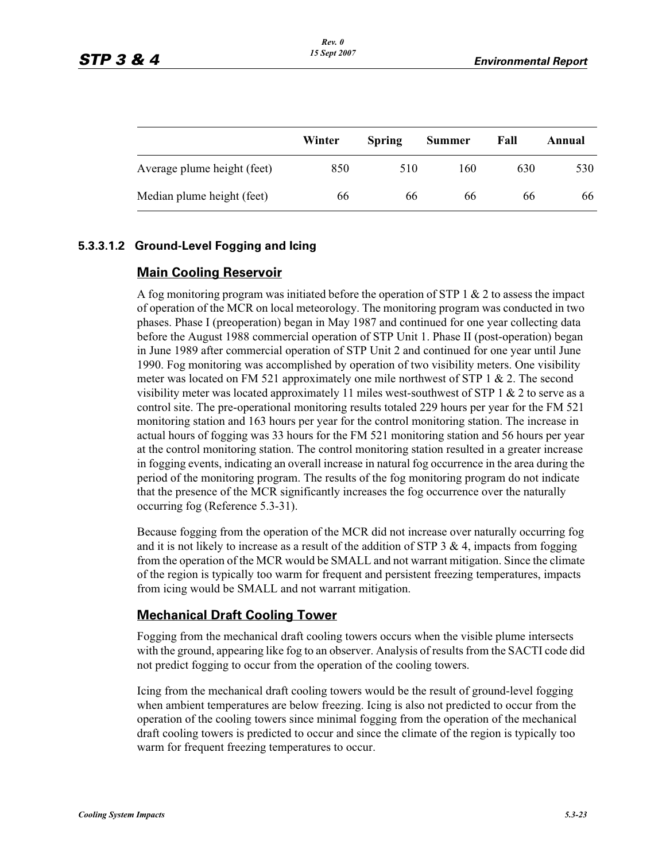|                             | Winter | <b>Spring</b> | <b>Summer</b> | Fall | Annual |
|-----------------------------|--------|---------------|---------------|------|--------|
| Average plume height (feet) | 850    | 510           | 160           | 630  | 530    |
| Median plume height (feet)  | 66     | 66            | 66            | 66   | 66     |

### **5.3.3.1.2 Ground-Level Fogging and Icing**

### **Main Cooling Reservoir**

A fog monitoring program was initiated before the operation of STP  $1 \& 2$  to assess the impact of operation of the MCR on local meteorology. The monitoring program was conducted in two phases. Phase I (preoperation) began in May 1987 and continued for one year collecting data before the August 1988 commercial operation of STP Unit 1. Phase II (post-operation) began in June 1989 after commercial operation of STP Unit 2 and continued for one year until June 1990. Fog monitoring was accomplished by operation of two visibility meters. One visibility meter was located on FM 521 approximately one mile northwest of STP 1 & 2. The second visibility meter was located approximately 11 miles west-southwest of STP  $1 \& 2$  to serve as a control site. The pre-operational monitoring results totaled 229 hours per year for the FM 521 monitoring station and 163 hours per year for the control monitoring station. The increase in actual hours of fogging was 33 hours for the FM 521 monitoring station and 56 hours per year at the control monitoring station. The control monitoring station resulted in a greater increase in fogging events, indicating an overall increase in natural fog occurrence in the area during the period of the monitoring program. The results of the fog monitoring program do not indicate that the presence of the MCR significantly increases the fog occurrence over the naturally occurring fog (Reference 5.3-31).

Because fogging from the operation of the MCR did not increase over naturally occurring fog and it is not likely to increase as a result of the addition of STP 3  $\&$  4, impacts from fogging from the operation of the MCR would be SMALL and not warrant mitigation. Since the climate of the region is typically too warm for frequent and persistent freezing temperatures, impacts from icing would be SMALL and not warrant mitigation.

### **Mechanical Draft Cooling Tower**

Fogging from the mechanical draft cooling towers occurs when the visible plume intersects with the ground, appearing like fog to an observer. Analysis of results from the SACTI code did not predict fogging to occur from the operation of the cooling towers.

Icing from the mechanical draft cooling towers would be the result of ground-level fogging when ambient temperatures are below freezing. Icing is also not predicted to occur from the operation of the cooling towers since minimal fogging from the operation of the mechanical draft cooling towers is predicted to occur and since the climate of the region is typically too warm for frequent freezing temperatures to occur.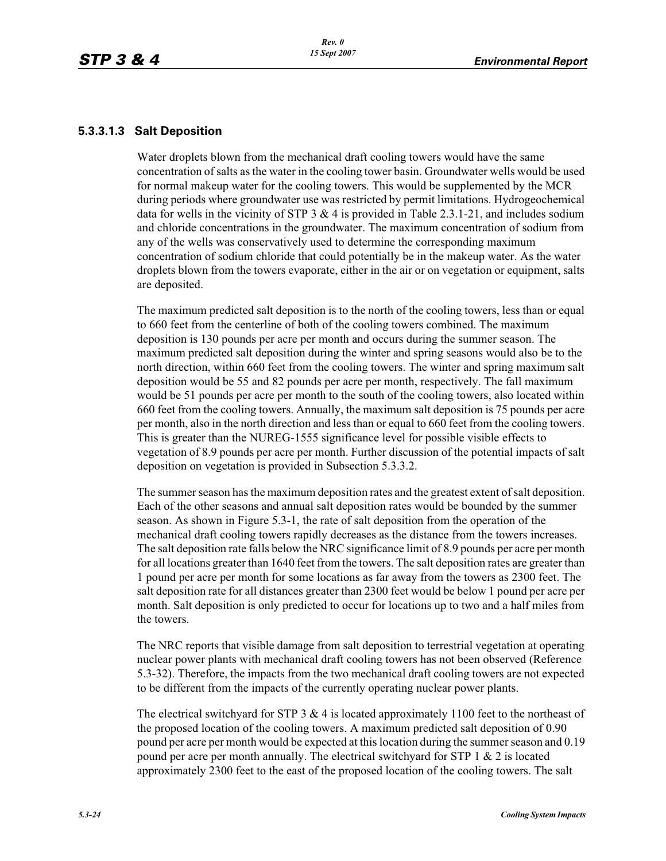### **5.3.3.1.3 Salt Deposition**

Water droplets blown from the mechanical draft cooling towers would have the same concentration of salts as the water in the cooling tower basin. Groundwater wells would be used for normal makeup water for the cooling towers. This would be supplemented by the MCR during periods where groundwater use was restricted by permit limitations. Hydrogeochemical data for wells in the vicinity of STP  $3 \& 4$  is provided in Table 2.3.1-21, and includes sodium and chloride concentrations in the groundwater. The maximum concentration of sodium from any of the wells was conservatively used to determine the corresponding maximum concentration of sodium chloride that could potentially be in the makeup water. As the water droplets blown from the towers evaporate, either in the air or on vegetation or equipment, salts are deposited.

The maximum predicted salt deposition is to the north of the cooling towers, less than or equal to 660 feet from the centerline of both of the cooling towers combined. The maximum deposition is 130 pounds per acre per month and occurs during the summer season. The maximum predicted salt deposition during the winter and spring seasons would also be to the north direction, within 660 feet from the cooling towers. The winter and spring maximum salt deposition would be 55 and 82 pounds per acre per month, respectively. The fall maximum would be 51 pounds per acre per month to the south of the cooling towers, also located within 660 feet from the cooling towers. Annually, the maximum salt deposition is 75 pounds per acre per month, also in the north direction and less than or equal to 660 feet from the cooling towers. This is greater than the NUREG-1555 significance level for possible visible effects to vegetation of 8.9 pounds per acre per month. Further discussion of the potential impacts of salt deposition on vegetation is provided in Subsection 5.3.3.2.

The summer season has the maximum deposition rates and the greatest extent of salt deposition. Each of the other seasons and annual salt deposition rates would be bounded by the summer season. As shown in Figure 5.3-1, the rate of salt deposition from the operation of the mechanical draft cooling towers rapidly decreases as the distance from the towers increases. The salt deposition rate falls below the NRC significance limit of 8.9 pounds per acre per month for all locations greater than 1640 feet from the towers. The salt deposition rates are greater than 1 pound per acre per month for some locations as far away from the towers as 2300 feet. The salt deposition rate for all distances greater than 2300 feet would be below 1 pound per acre per month. Salt deposition is only predicted to occur for locations up to two and a half miles from the towers.

The NRC reports that visible damage from salt deposition to terrestrial vegetation at operating nuclear power plants with mechanical draft cooling towers has not been observed (Reference 5.3-32). Therefore, the impacts from the two mechanical draft cooling towers are not expected to be different from the impacts of the currently operating nuclear power plants.

The electrical switchyard for STP 3  $&$  4 is located approximately 1100 feet to the northeast of the proposed location of the cooling towers. A maximum predicted salt deposition of 0.90 pound per acre per month would be expected at this location during the summer season and 0.19 pound per acre per month annually. The electrical switchyard for STP 1 & 2 is located approximately 2300 feet to the east of the proposed location of the cooling towers. The salt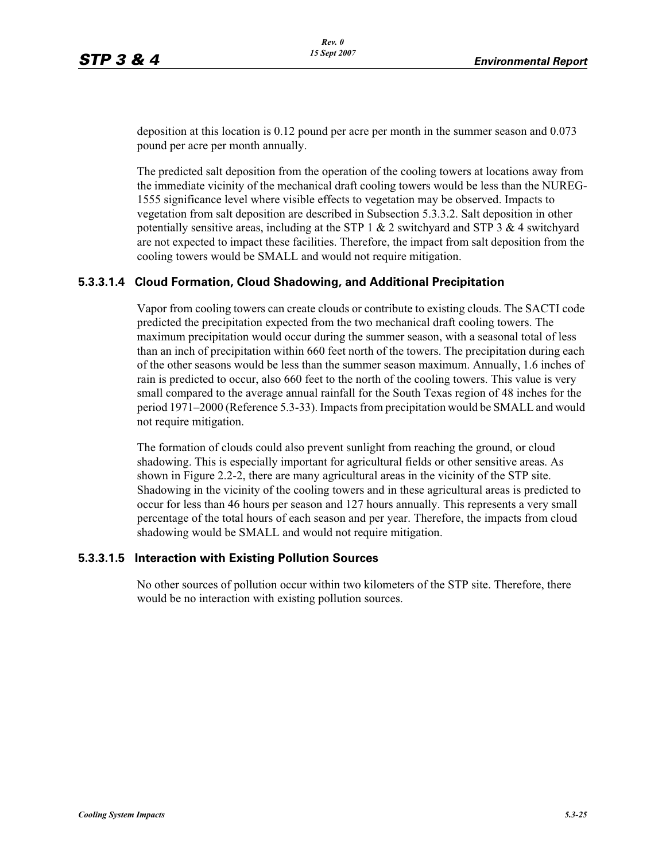deposition at this location is 0.12 pound per acre per month in the summer season and 0.073 pound per acre per month annually.

The predicted salt deposition from the operation of the cooling towers at locations away from the immediate vicinity of the mechanical draft cooling towers would be less than the NUREG-1555 significance level where visible effects to vegetation may be observed. Impacts to vegetation from salt deposition are described in Subsection 5.3.3.2. Salt deposition in other potentially sensitive areas, including at the STP 1  $\&$  2 switchyard and STP 3  $\&$  4 switchyard are not expected to impact these facilities. Therefore, the impact from salt deposition from the cooling towers would be SMALL and would not require mitigation.

### **5.3.3.1.4 Cloud Formation, Cloud Shadowing, and Additional Precipitation**

Vapor from cooling towers can create clouds or contribute to existing clouds. The SACTI code predicted the precipitation expected from the two mechanical draft cooling towers. The maximum precipitation would occur during the summer season, with a seasonal total of less than an inch of precipitation within 660 feet north of the towers. The precipitation during each of the other seasons would be less than the summer season maximum. Annually, 1.6 inches of rain is predicted to occur, also 660 feet to the north of the cooling towers. This value is very small compared to the average annual rainfall for the South Texas region of 48 inches for the period 1971–2000 (Reference 5.3-33). Impacts from precipitation would be SMALL and would not require mitigation.

The formation of clouds could also prevent sunlight from reaching the ground, or cloud shadowing. This is especially important for agricultural fields or other sensitive areas. As shown in Figure 2.2-2, there are many agricultural areas in the vicinity of the STP site. Shadowing in the vicinity of the cooling towers and in these agricultural areas is predicted to occur for less than 46 hours per season and 127 hours annually. This represents a very small percentage of the total hours of each season and per year. Therefore, the impacts from cloud shadowing would be SMALL and would not require mitigation.

### **5.3.3.1.5 Interaction with Existing Pollution Sources**

No other sources of pollution occur within two kilometers of the STP site. Therefore, there would be no interaction with existing pollution sources.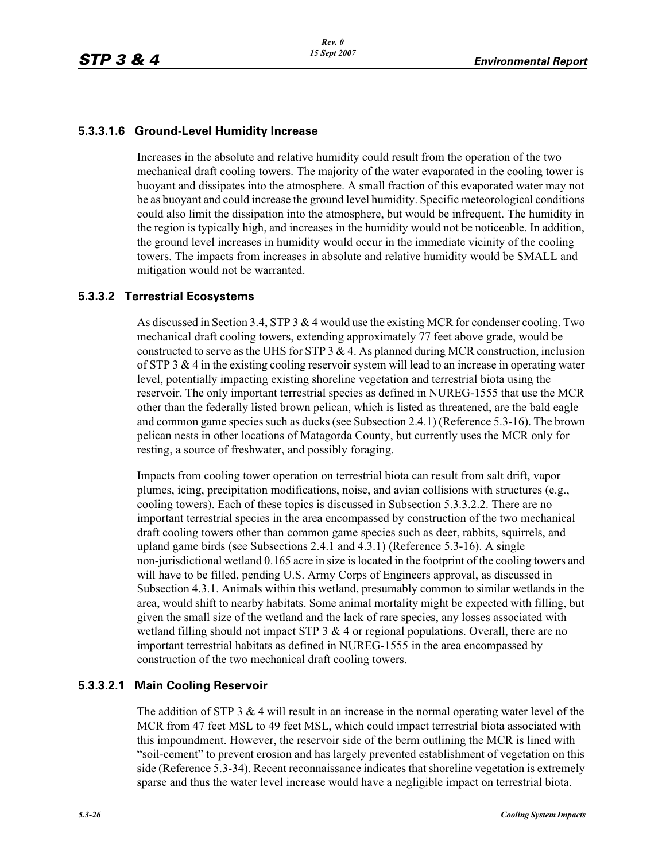### **5.3.3.1.6 Ground-Level Humidity Increase**

Increases in the absolute and relative humidity could result from the operation of the two mechanical draft cooling towers. The majority of the water evaporated in the cooling tower is buoyant and dissipates into the atmosphere. A small fraction of this evaporated water may not be as buoyant and could increase the ground level humidity. Specific meteorological conditions could also limit the dissipation into the atmosphere, but would be infrequent. The humidity in the region is typically high, and increases in the humidity would not be noticeable. In addition, the ground level increases in humidity would occur in the immediate vicinity of the cooling towers. The impacts from increases in absolute and relative humidity would be SMALL and mitigation would not be warranted.

### **5.3.3.2 Terrestrial Ecosystems**

As discussed in Section 3.4, STP 3 & 4 would use the existing MCR for condenser cooling. Two mechanical draft cooling towers, extending approximately 77 feet above grade, would be constructed to serve as the UHS for STP 3  $\&$  4. As planned during MCR construction, inclusion of STP 3  $\&$  4 in the existing cooling reservoir system will lead to an increase in operating water level, potentially impacting existing shoreline vegetation and terrestrial biota using the reservoir. The only important terrestrial species as defined in NUREG-1555 that use the MCR other than the federally listed brown pelican, which is listed as threatened, are the bald eagle and common game species such as ducks (see Subsection 2.4.1) (Reference 5.3-16). The brown pelican nests in other locations of Matagorda County, but currently uses the MCR only for resting, a source of freshwater, and possibly foraging.

Impacts from cooling tower operation on terrestrial biota can result from salt drift, vapor plumes, icing, precipitation modifications, noise, and avian collisions with structures (e.g., cooling towers). Each of these topics is discussed in Subsection 5.3.3.2.2. There are no important terrestrial species in the area encompassed by construction of the two mechanical draft cooling towers other than common game species such as deer, rabbits, squirrels, and upland game birds (see Subsections 2.4.1 and 4.3.1) (Reference 5.3-16). A single non-jurisdictional wetland 0.165 acre in size is located in the footprint of the cooling towers and will have to be filled, pending U.S. Army Corps of Engineers approval, as discussed in Subsection 4.3.1. Animals within this wetland, presumably common to similar wetlands in the area, would shift to nearby habitats. Some animal mortality might be expected with filling, but given the small size of the wetland and the lack of rare species, any losses associated with wetland filling should not impact STP  $3 \& 4$  or regional populations. Overall, there are no important terrestrial habitats as defined in NUREG-1555 in the area encompassed by construction of the two mechanical draft cooling towers.

### **5.3.3.2.1 Main Cooling Reservoir**

The addition of STP 3  $&$  4 will result in an increase in the normal operating water level of the MCR from 47 feet MSL to 49 feet MSL, which could impact terrestrial biota associated with this impoundment. However, the reservoir side of the berm outlining the MCR is lined with "soil-cement" to prevent erosion and has largely prevented establishment of vegetation on this side (Reference 5.3-34). Recent reconnaissance indicates that shoreline vegetation is extremely sparse and thus the water level increase would have a negligible impact on terrestrial biota.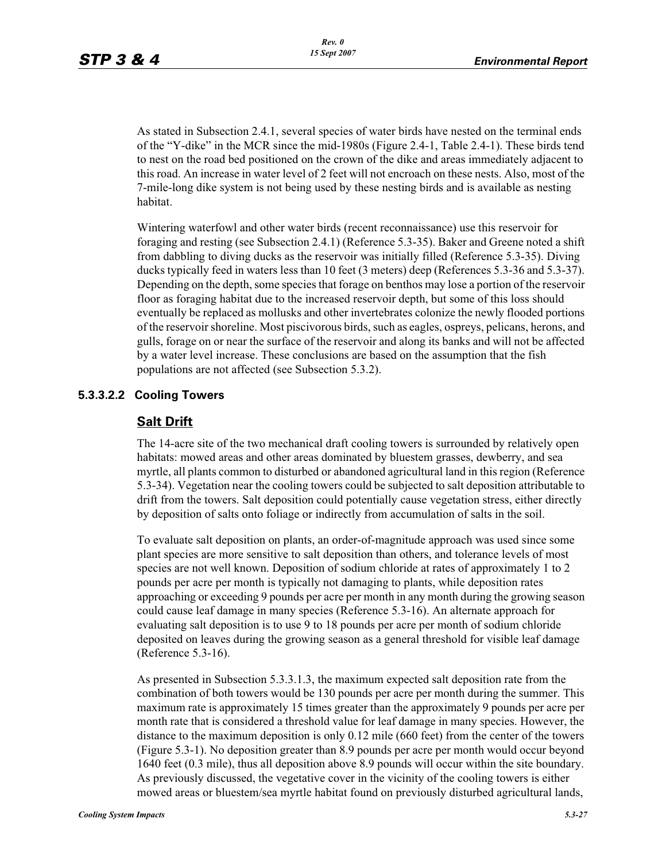As stated in Subsection 2.4.1, several species of water birds have nested on the terminal ends of the "Y-dike" in the MCR since the mid-1980s (Figure 2.4-1, Table 2.4-1). These birds tend to nest on the road bed positioned on the crown of the dike and areas immediately adjacent to this road. An increase in water level of 2 feet will not encroach on these nests. Also, most of the 7-mile-long dike system is not being used by these nesting birds and is available as nesting habitat.

Wintering waterfowl and other water birds (recent reconnaissance) use this reservoir for foraging and resting (see Subsection 2.4.1) (Reference 5.3-35). Baker and Greene noted a shift from dabbling to diving ducks as the reservoir was initially filled (Reference 5.3-35). Diving ducks typically feed in waters less than 10 feet (3 meters) deep (References 5.3-36 and 5.3-37). Depending on the depth, some species that forage on benthos may lose a portion of the reservoir floor as foraging habitat due to the increased reservoir depth, but some of this loss should eventually be replaced as mollusks and other invertebrates colonize the newly flooded portions of the reservoir shoreline. Most piscivorous birds, such as eagles, ospreys, pelicans, herons, and gulls, forage on or near the surface of the reservoir and along its banks and will not be affected by a water level increase. These conclusions are based on the assumption that the fish populations are not affected (see Subsection 5.3.2).

## **5.3.3.2.2 Cooling Towers**

### **Salt Drift**

The 14-acre site of the two mechanical draft cooling towers is surrounded by relatively open habitats: mowed areas and other areas dominated by bluestem grasses, dewberry, and sea myrtle, all plants common to disturbed or abandoned agricultural land in this region (Reference 5.3-34). Vegetation near the cooling towers could be subjected to salt deposition attributable to drift from the towers. Salt deposition could potentially cause vegetation stress, either directly by deposition of salts onto foliage or indirectly from accumulation of salts in the soil.

To evaluate salt deposition on plants, an order-of-magnitude approach was used since some plant species are more sensitive to salt deposition than others, and tolerance levels of most species are not well known. Deposition of sodium chloride at rates of approximately 1 to 2 pounds per acre per month is typically not damaging to plants, while deposition rates approaching or exceeding 9 pounds per acre per month in any month during the growing season could cause leaf damage in many species (Reference 5.3-16). An alternate approach for evaluating salt deposition is to use 9 to 18 pounds per acre per month of sodium chloride deposited on leaves during the growing season as a general threshold for visible leaf damage (Reference 5.3-16).

As presented in Subsection 5.3.3.1.3, the maximum expected salt deposition rate from the combination of both towers would be 130 pounds per acre per month during the summer. This maximum rate is approximately 15 times greater than the approximately 9 pounds per acre per month rate that is considered a threshold value for leaf damage in many species. However, the distance to the maximum deposition is only 0.12 mile (660 feet) from the center of the towers (Figure 5.3-1). No deposition greater than 8.9 pounds per acre per month would occur beyond 1640 feet (0.3 mile), thus all deposition above 8.9 pounds will occur within the site boundary. As previously discussed, the vegetative cover in the vicinity of the cooling towers is either mowed areas or bluestem/sea myrtle habitat found on previously disturbed agricultural lands,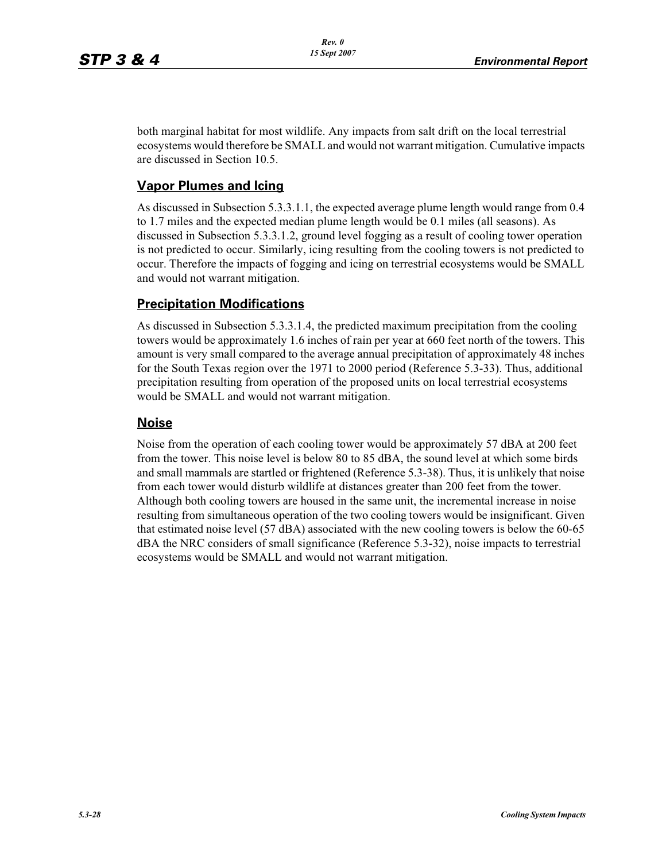both marginal habitat for most wildlife. Any impacts from salt drift on the local terrestrial ecosystems would therefore be SMALL and would not warrant mitigation. Cumulative impacts are discussed in Section 10.5.

## **Vapor Plumes and Icing**

As discussed in Subsection 5.3.3.1.1, the expected average plume length would range from 0.4 to 1.7 miles and the expected median plume length would be 0.1 miles (all seasons). As discussed in Subsection 5.3.3.1.2, ground level fogging as a result of cooling tower operation is not predicted to occur. Similarly, icing resulting from the cooling towers is not predicted to occur. Therefore the impacts of fogging and icing on terrestrial ecosystems would be SMALL and would not warrant mitigation.

## **Precipitation Modifications**

As discussed in Subsection 5.3.3.1.4, the predicted maximum precipitation from the cooling towers would be approximately 1.6 inches of rain per year at 660 feet north of the towers. This amount is very small compared to the average annual precipitation of approximately 48 inches for the South Texas region over the 1971 to 2000 period (Reference 5.3-33). Thus, additional precipitation resulting from operation of the proposed units on local terrestrial ecosystems would be SMALL and would not warrant mitigation.

## **Noise**

Noise from the operation of each cooling tower would be approximately 57 dBA at 200 feet from the tower. This noise level is below 80 to 85 dBA, the sound level at which some birds and small mammals are startled or frightened (Reference 5.3-38). Thus, it is unlikely that noise from each tower would disturb wildlife at distances greater than 200 feet from the tower. Although both cooling towers are housed in the same unit, the incremental increase in noise resulting from simultaneous operation of the two cooling towers would be insignificant. Given that estimated noise level (57 dBA) associated with the new cooling towers is below the 60-65 dBA the NRC considers of small significance (Reference 5.3-32), noise impacts to terrestrial ecosystems would be SMALL and would not warrant mitigation.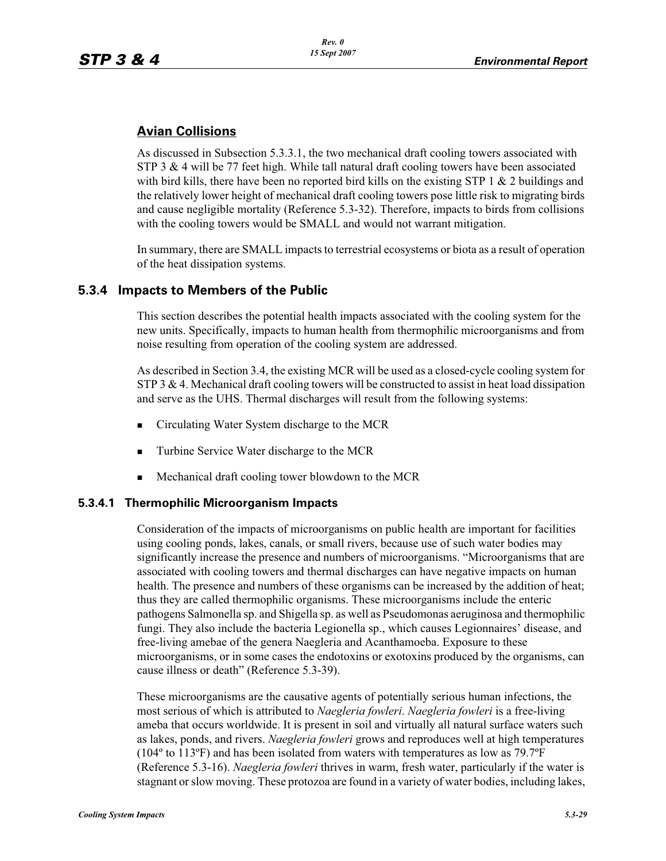## **Avian Collisions**

As discussed in Subsection 5.3.3.1, the two mechanical draft cooling towers associated with STP 3  $&$  4 will be 77 feet high. While tall natural draft cooling towers have been associated with bird kills, there have been no reported bird kills on the existing STP 1  $\&$  2 buildings and the relatively lower height of mechanical draft cooling towers pose little risk to migrating birds and cause negligible mortality (Reference 5.3-32). Therefore, impacts to birds from collisions with the cooling towers would be SMALL and would not warrant mitigation.

In summary, there are SMALL impacts to terrestrial ecosystems or biota as a result of operation of the heat dissipation systems.

## **5.3.4 Impacts to Members of the Public**

This section describes the potential health impacts associated with the cooling system for the new units. Specifically, impacts to human health from thermophilic microorganisms and from noise resulting from operation of the cooling system are addressed.

As described in Section 3.4, the existing MCR will be used as a closed-cycle cooling system for  $STP_3 \& 4$ . Mechanical draft cooling towers will be constructed to assist in heat load dissipation and serve as the UHS. Thermal discharges will result from the following systems:

- **Example 3** Circulating Water System discharge to the MCR
- -Turbine Service Water discharge to the MCR
- -Mechanical draft cooling tower blowdown to the MCR

### **5.3.4.1 Thermophilic Microorganism Impacts**

Consideration of the impacts of microorganisms on public health are important for facilities using cooling ponds, lakes, canals, or small rivers, because use of such water bodies may significantly increase the presence and numbers of microorganisms. "Microorganisms that are associated with cooling towers and thermal discharges can have negative impacts on human health. The presence and numbers of these organisms can be increased by the addition of heat; thus they are called thermophilic organisms. These microorganisms include the enteric pathogens Salmonella sp. and Shigella sp. as well as Pseudomonas aeruginosa and thermophilic fungi. They also include the bacteria Legionella sp., which causes Legionnaires' disease, and free-living amebae of the genera Naegleria and Acanthamoeba. Exposure to these microorganisms, or in some cases the endotoxins or exotoxins produced by the organisms, can cause illness or death" (Reference 5.3-39).

These microorganisms are the causative agents of potentially serious human infections, the most serious of which is attributed to *Naegleria fowleri*. *Naegleria fowleri* is a free-living ameba that occurs worldwide. It is present in soil and virtually all natural surface waters such as lakes, ponds, and rivers. *Naegleria fowleri* grows and reproduces well at high temperatures (104º to 113ºF) and has been isolated from waters with temperatures as low as 79.7ºF (Reference 5.3-16). *Naegleria fowleri* thrives in warm, fresh water, particularly if the water is stagnant or slow moving. These protozoa are found in a variety of water bodies, including lakes,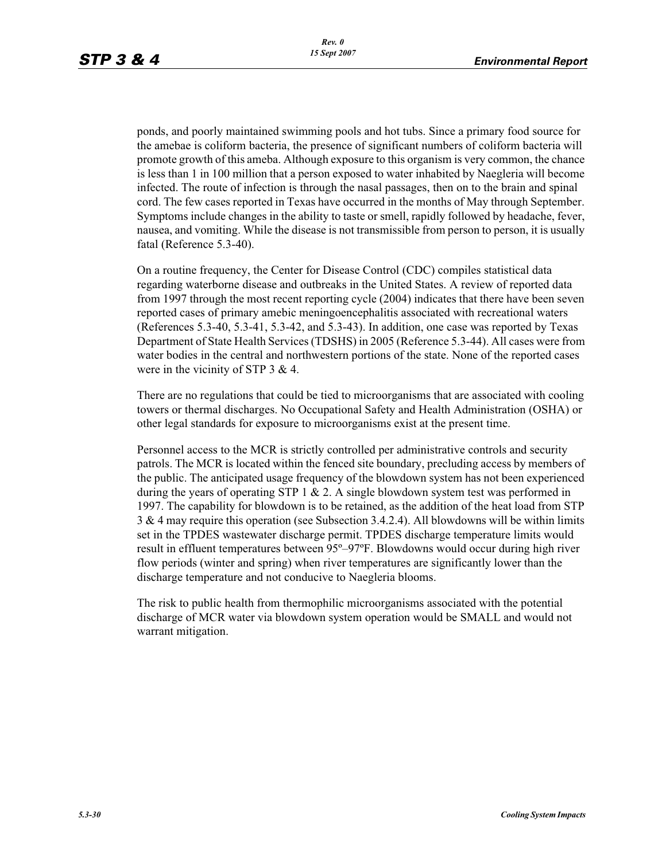ponds, and poorly maintained swimming pools and hot tubs. Since a primary food source for the amebae is coliform bacteria, the presence of significant numbers of coliform bacteria will promote growth of this ameba. Although exposure to this organism is very common, the chance is less than 1 in 100 million that a person exposed to water inhabited by Naegleria will become infected. The route of infection is through the nasal passages, then on to the brain and spinal cord. The few cases reported in Texas have occurred in the months of May through September. Symptoms include changes in the ability to taste or smell, rapidly followed by headache, fever, nausea, and vomiting. While the disease is not transmissible from person to person, it is usually fatal (Reference 5.3-40).

On a routine frequency, the Center for Disease Control (CDC) compiles statistical data regarding waterborne disease and outbreaks in the United States. A review of reported data from 1997 through the most recent reporting cycle (2004) indicates that there have been seven reported cases of primary amebic meningoencephalitis associated with recreational waters (References 5.3-40, 5.3-41, 5.3-42, and 5.3-43). In addition, one case was reported by Texas Department of State Health Services (TDSHS) in 2005 (Reference 5.3-44). All cases were from water bodies in the central and northwestern portions of the state. None of the reported cases were in the vicinity of STP 3 & 4.

There are no regulations that could be tied to microorganisms that are associated with cooling towers or thermal discharges. No Occupational Safety and Health Administration (OSHA) or other legal standards for exposure to microorganisms exist at the present time.

Personnel access to the MCR is strictly controlled per administrative controls and security patrols. The MCR is located within the fenced site boundary, precluding access by members of the public. The anticipated usage frequency of the blowdown system has not been experienced during the years of operating STP 1  $\&$  2. A single blowdown system test was performed in 1997. The capability for blowdown is to be retained, as the addition of the heat load from STP 3 & 4 may require this operation (see Subsection 3.4.2.4). All blowdowns will be within limits set in the TPDES wastewater discharge permit. TPDES discharge temperature limits would result in effluent temperatures between 95º–97ºF. Blowdowns would occur during high river flow periods (winter and spring) when river temperatures are significantly lower than the discharge temperature and not conducive to Naegleria blooms.

The risk to public health from thermophilic microorganisms associated with the potential discharge of MCR water via blowdown system operation would be SMALL and would not warrant mitigation.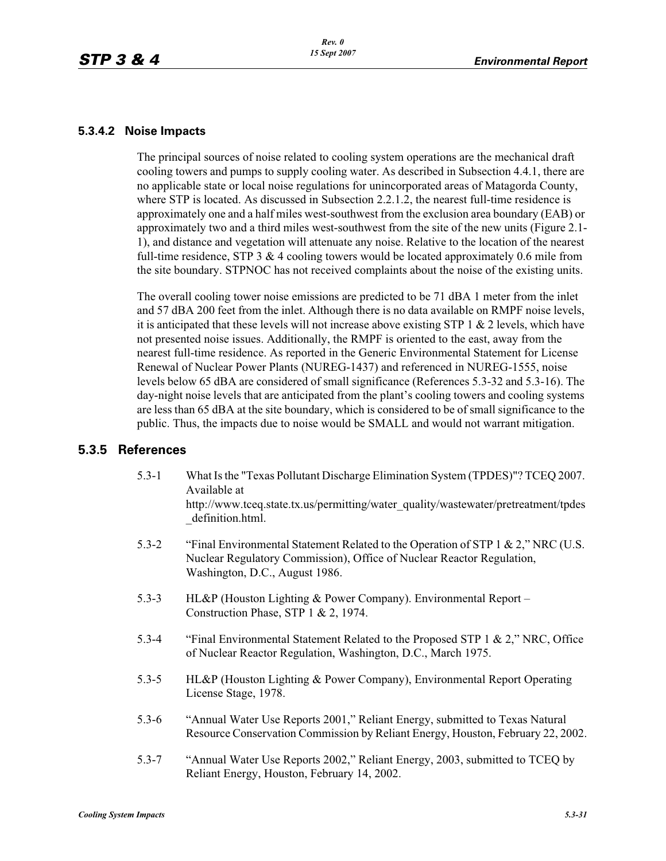### **5.3.4.2 Noise Impacts**

The principal sources of noise related to cooling system operations are the mechanical draft cooling towers and pumps to supply cooling water. As described in Subsection 4.4.1, there are no applicable state or local noise regulations for unincorporated areas of Matagorda County, where STP is located. As discussed in Subsection 2.2.1.2, the nearest full-time residence is approximately one and a half miles west-southwest from the exclusion area boundary (EAB) or approximately two and a third miles west-southwest from the site of the new units (Figure 2.1- 1), and distance and vegetation will attenuate any noise. Relative to the location of the nearest full-time residence, STP  $3 \& 4$  cooling towers would be located approximately 0.6 mile from the site boundary. STPNOC has not received complaints about the noise of the existing units.

The overall cooling tower noise emissions are predicted to be 71 dBA 1 meter from the inlet and 57 dBA 200 feet from the inlet. Although there is no data available on RMPF noise levels, it is anticipated that these levels will not increase above existing STP  $1 \& 2$  levels, which have not presented noise issues. Additionally, the RMPF is oriented to the east, away from the nearest full-time residence. As reported in the Generic Environmental Statement for License Renewal of Nuclear Power Plants (NUREG-1437) and referenced in NUREG-1555, noise levels below 65 dBA are considered of small significance (References 5.3-32 and 5.3-16). The day-night noise levels that are anticipated from the plant's cooling towers and cooling systems are less than 65 dBA at the site boundary, which is considered to be of small significance to the public. Thus, the impacts due to noise would be SMALL and would not warrant mitigation.

### **5.3.5 References**

- 5.3-1 What Is the "Texas Pollutant Discharge Elimination System (TPDES)"? TCEQ 2007. Available at http://www.tceq.state.tx.us/permitting/water\_quality/wastewater/pretreatment/tpdes \_definition.html.
- 5.3-2 "Final Environmental Statement Related to the Operation of STP 1 & 2," NRC (U.S. Nuclear Regulatory Commission), Office of Nuclear Reactor Regulation, Washington, D.C., August 1986.
- 5.3-3 HL&P (Houston Lighting & Power Company). Environmental Report Construction Phase, STP 1 & 2, 1974.
- 5.3-4 "Final Environmental Statement Related to the Proposed STP 1 & 2," NRC, Office of Nuclear Reactor Regulation, Washington, D.C., March 1975.
- 5.3-5 HL&P (Houston Lighting & Power Company), Environmental Report Operating License Stage, 1978.
- 5.3-6 "Annual Water Use Reports 2001," Reliant Energy, submitted to Texas Natural Resource Conservation Commission by Reliant Energy, Houston, February 22, 2002.
- 5.3-7 "Annual Water Use Reports 2002," Reliant Energy, 2003, submitted to TCEQ by Reliant Energy, Houston, February 14, 2002.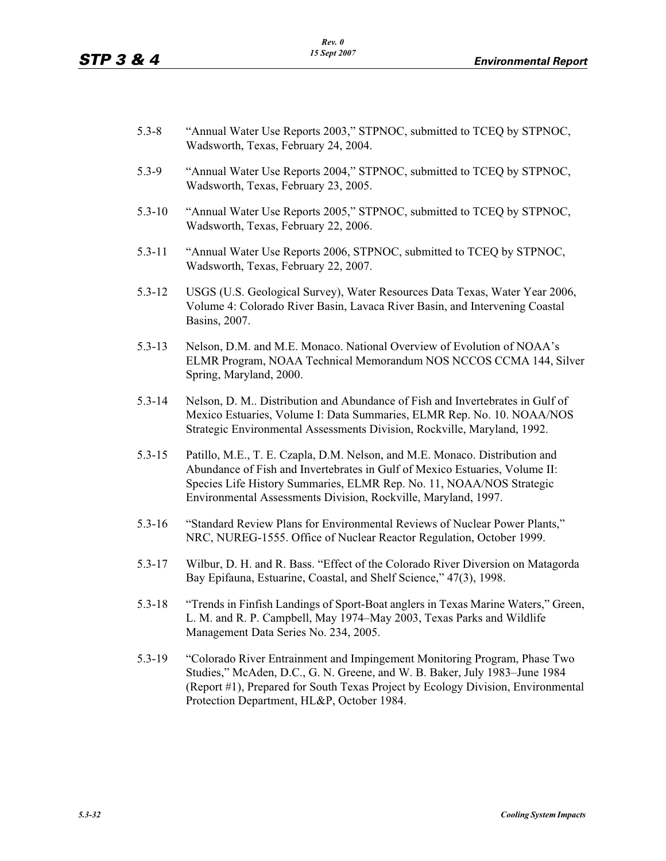- 5.3-8 "Annual Water Use Reports 2003," STPNOC, submitted to TCEQ by STPNOC, Wadsworth, Texas, February 24, 2004.
- 5.3-9 "Annual Water Use Reports 2004," STPNOC, submitted to TCEQ by STPNOC, Wadsworth, Texas, February 23, 2005.
- 5.3-10 "Annual Water Use Reports 2005," STPNOC, submitted to TCEQ by STPNOC, Wadsworth, Texas, February 22, 2006.
- 5.3-11 "Annual Water Use Reports 2006, STPNOC, submitted to TCEQ by STPNOC, Wadsworth, Texas, February 22, 2007.
- 5.3-12 USGS (U.S. Geological Survey), Water Resources Data Texas, Water Year 2006, Volume 4: Colorado River Basin, Lavaca River Basin, and Intervening Coastal Basins, 2007.
- 5.3-13 Nelson, D.M. and M.E. Monaco. National Overview of Evolution of NOAA's ELMR Program, NOAA Technical Memorandum NOS NCCOS CCMA 144, Silver Spring, Maryland, 2000.
- 5.3-14 Nelson, D. M.. Distribution and Abundance of Fish and Invertebrates in Gulf of Mexico Estuaries, Volume I: Data Summaries, ELMR Rep. No. 10. NOAA/NOS Strategic Environmental Assessments Division, Rockville, Maryland, 1992.
- 5.3-15 Patillo, M.E., T. E. Czapla, D.M. Nelson, and M.E. Monaco. Distribution and Abundance of Fish and Invertebrates in Gulf of Mexico Estuaries, Volume II: Species Life History Summaries, ELMR Rep. No. 11, NOAA/NOS Strategic Environmental Assessments Division, Rockville, Maryland, 1997.
- 5.3-16 "Standard Review Plans for Environmental Reviews of Nuclear Power Plants," NRC, NUREG-1555. Office of Nuclear Reactor Regulation, October 1999.
- 5.3-17 Wilbur, D. H. and R. Bass. "Effect of the Colorado River Diversion on Matagorda Bay Epifauna, Estuarine, Coastal, and Shelf Science," 47(3), 1998.
- 5.3-18 "Trends in Finfish Landings of Sport-Boat anglers in Texas Marine Waters," Green, L. M. and R. P. Campbell, May 1974–May 2003, Texas Parks and Wildlife Management Data Series No. 234, 2005.
- 5.3-19 "Colorado River Entrainment and Impingement Monitoring Program, Phase Two Studies," McAden, D.C., G. N. Greene, and W. B. Baker, July 1983–June 1984 (Report #1), Prepared for South Texas Project by Ecology Division, Environmental Protection Department, HL&P, October 1984.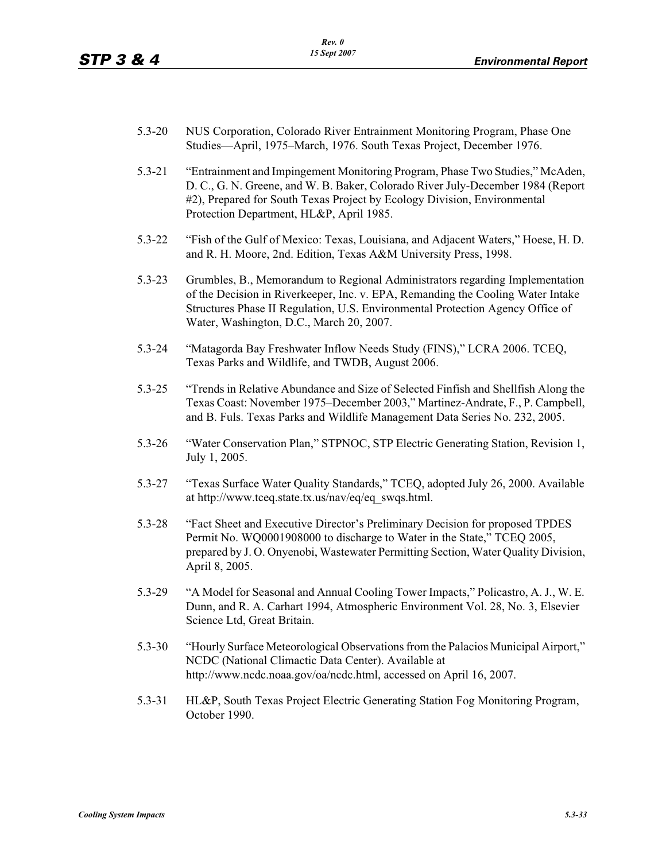- 5.3-20 NUS Corporation, Colorado River Entrainment Monitoring Program, Phase One Studies—April, 1975–March, 1976. South Texas Project, December 1976.
- 5.3-21 "Entrainment and Impingement Monitoring Program, Phase Two Studies," McAden, D. C., G. N. Greene, and W. B. Baker, Colorado River July-December 1984 (Report #2), Prepared for South Texas Project by Ecology Division, Environmental Protection Department, HL&P, April 1985.
- 5.3-22 "Fish of the Gulf of Mexico: Texas, Louisiana, and Adjacent Waters," Hoese, H. D. and R. H. Moore, 2nd. Edition, Texas A&M University Press, 1998.
- 5.3-23 Grumbles, B., Memorandum to Regional Administrators regarding Implementation of the Decision in Riverkeeper, Inc. v. EPA, Remanding the Cooling Water Intake Structures Phase II Regulation, U.S. Environmental Protection Agency Office of Water, Washington, D.C., March 20, 2007.
- 5.3-24 "Matagorda Bay Freshwater Inflow Needs Study (FINS)," LCRA 2006. TCEQ, Texas Parks and Wildlife, and TWDB, August 2006.
- 5.3-25 "Trends in Relative Abundance and Size of Selected Finfish and Shellfish Along the Texas Coast: November 1975–December 2003," Martinez-Andrate, F., P. Campbell, and B. Fuls. Texas Parks and Wildlife Management Data Series No. 232, 2005.
- 5.3-26 "Water Conservation Plan," STPNOC, STP Electric Generating Station, Revision 1, July 1, 2005.
- 5.3-27 "Texas Surface Water Quality Standards," TCEQ, adopted July 26, 2000. Available at http://www.tceq.state.tx.us/nav/eq/eq\_swqs.html.
- 5.3-28 "Fact Sheet and Executive Director's Preliminary Decision for proposed TPDES Permit No. WQ0001908000 to discharge to Water in the State," TCEQ 2005, prepared by J. O. Onyenobi, Wastewater Permitting Section, Water Quality Division, April 8, 2005.
- 5.3-29 "A Model for Seasonal and Annual Cooling Tower Impacts," Policastro, A. J., W. E. Dunn, and R. A. Carhart 1994, Atmospheric Environment Vol. 28, No. 3, Elsevier Science Ltd, Great Britain.
- 5.3-30 "Hourly Surface Meteorological Observations from the Palacios Municipal Airport," NCDC (National Climactic Data Center). Available at http://www.ncdc.noaa.gov/oa/ncdc.html, accessed on April 16, 2007.
- 5.3-31 HL&P, South Texas Project Electric Generating Station Fog Monitoring Program, October 1990.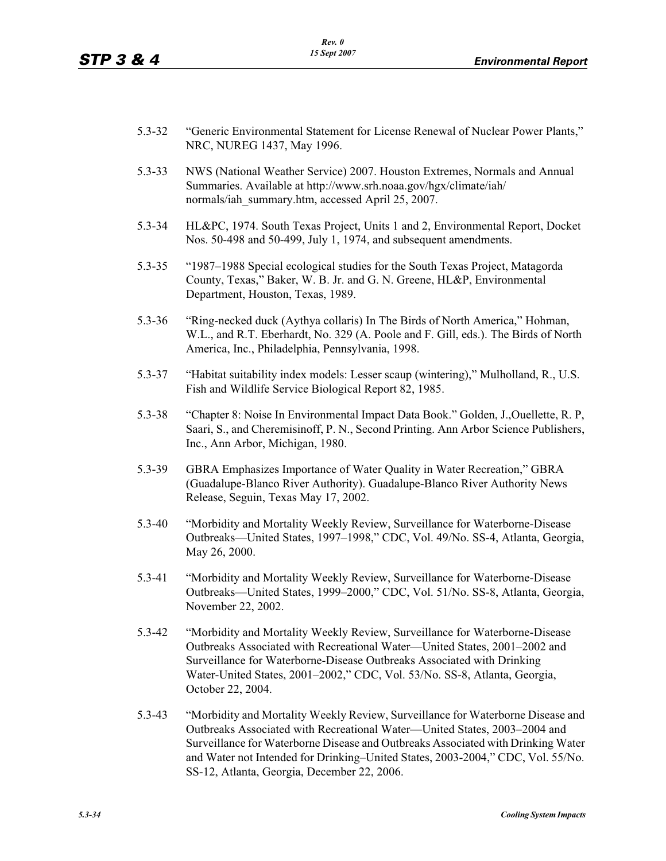- 5.3-32 "Generic Environmental Statement for License Renewal of Nuclear Power Plants," NRC, NUREG 1437, May 1996.
- 5.3-33 NWS (National Weather Service) 2007. Houston Extremes, Normals and Annual Summaries. Available at http://www.srh.noaa.gov/hgx/climate/iah/ normals/iah\_summary.htm, accessed April 25, 2007.
- 5.3-34 HL&PC, 1974. South Texas Project, Units 1 and 2, Environmental Report, Docket Nos. 50-498 and 50-499, July 1, 1974, and subsequent amendments.
- 5.3-35 "1987–1988 Special ecological studies for the South Texas Project, Matagorda County, Texas," Baker, W. B. Jr. and G. N. Greene, HL&P, Environmental Department, Houston, Texas, 1989.
- 5.3-36 "Ring-necked duck (Aythya collaris) In The Birds of North America," Hohman, W.L., and R.T. Eberhardt, No. 329 (A. Poole and F. Gill, eds.). The Birds of North America, Inc., Philadelphia, Pennsylvania, 1998.
- 5.3-37 "Habitat suitability index models: Lesser scaup (wintering)," Mulholland, R., U.S. Fish and Wildlife Service Biological Report 82, 1985.
- 5.3-38 "Chapter 8: Noise In Environmental Impact Data Book." Golden, J.,Ouellette, R. P, Saari, S., and Cheremisinoff, P. N., Second Printing. Ann Arbor Science Publishers, Inc., Ann Arbor, Michigan, 1980.
- 5.3-39 GBRA Emphasizes Importance of Water Quality in Water Recreation," GBRA (Guadalupe-Blanco River Authority). Guadalupe-Blanco River Authority News Release, Seguin, Texas May 17, 2002.
- 5.3-40 "Morbidity and Mortality Weekly Review, Surveillance for Waterborne-Disease Outbreaks—United States, 1997–1998," CDC, Vol. 49/No. SS-4, Atlanta, Georgia, May 26, 2000.
- 5.3-41 "Morbidity and Mortality Weekly Review, Surveillance for Waterborne-Disease Outbreaks—United States, 1999–2000," CDC, Vol. 51/No. SS-8, Atlanta, Georgia, November 22, 2002.
- 5.3-42 "Morbidity and Mortality Weekly Review, Surveillance for Waterborne-Disease Outbreaks Associated with Recreational Water—United States, 2001–2002 and Surveillance for Waterborne-Disease Outbreaks Associated with Drinking Water-United States, 2001–2002," CDC, Vol. 53/No. SS-8, Atlanta, Georgia, October 22, 2004.
- 5.3-43 "Morbidity and Mortality Weekly Review, Surveillance for Waterborne Disease and Outbreaks Associated with Recreational Water—United States, 2003–2004 and Surveillance for Waterborne Disease and Outbreaks Associated with Drinking Water and Water not Intended for Drinking–United States, 2003-2004," CDC, Vol. 55/No. SS-12, Atlanta, Georgia, December 22, 2006.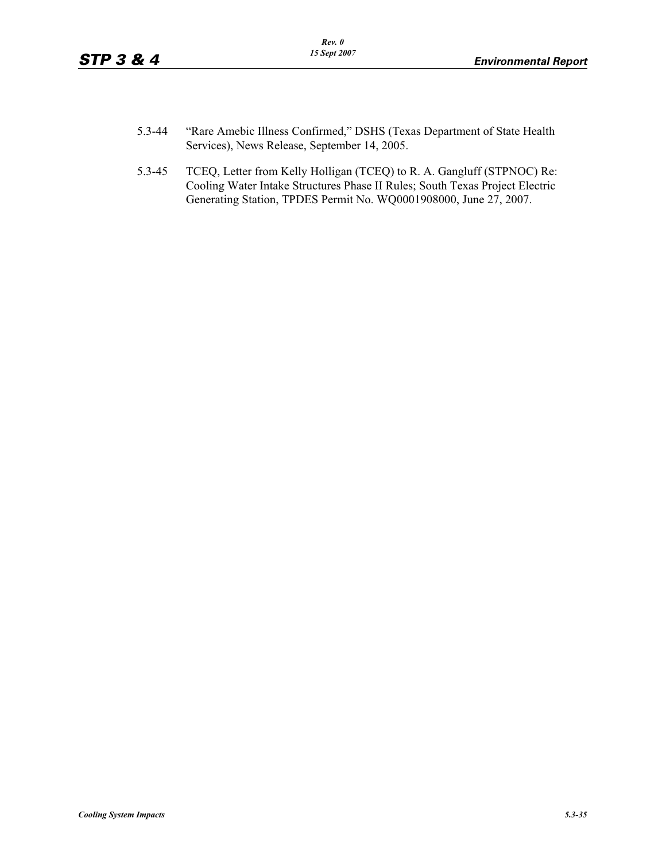- 5.3-44 "Rare Amebic Illness Confirmed," DSHS (Texas Department of State Health Services), News Release, September 14, 2005.
- 5.3-45 TCEQ, Letter from Kelly Holligan (TCEQ) to R. A. Gangluff (STPNOC) Re: Cooling Water Intake Structures Phase II Rules; South Texas Project Electric Generating Station, TPDES Permit No. WQ0001908000, June 27, 2007.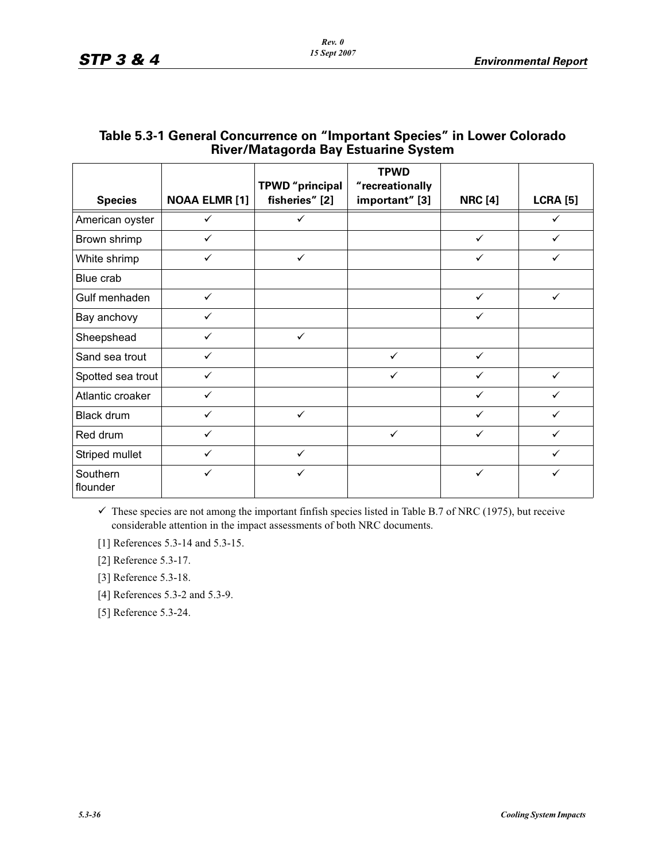| <b>Species</b>       | <b>NOAA ELMR [1]</b> | <b>TPWD</b> "principal<br>fisheries" [2] | <b>TPWD</b><br>"recreationally<br>important" [3] | <b>NRC [4]</b> | <b>LCRA [5]</b> |
|----------------------|----------------------|------------------------------------------|--------------------------------------------------|----------------|-----------------|
| American oyster      | $\checkmark$         | $\checkmark$                             |                                                  |                | ✓               |
| Brown shrimp         | $\checkmark$         |                                          |                                                  | $\checkmark$   | $\checkmark$    |
| White shrimp         | ✓                    | $\checkmark$                             |                                                  | $\checkmark$   | ✓               |
| Blue crab            |                      |                                          |                                                  |                |                 |
| Gulf menhaden        | $\checkmark$         |                                          |                                                  | $\checkmark$   | $\checkmark$    |
| Bay anchovy          |                      |                                          |                                                  | ✓              |                 |
| Sheepshead           | ✓                    | $\checkmark$                             |                                                  |                |                 |
| Sand sea trout       | $\checkmark$         |                                          | $\checkmark$                                     | $\checkmark$   |                 |
| Spotted sea trout    | ✓                    |                                          | $\checkmark$                                     | ✓              | ✓               |
| Atlantic croaker     | ✓                    |                                          |                                                  | ✓              |                 |
| <b>Black drum</b>    | ✓                    | $\checkmark$                             |                                                  | ✓              |                 |
| Red drum             |                      |                                          | $\checkmark$                                     | ✓              |                 |
| Striped mullet       |                      | ✓                                        |                                                  |                |                 |
| Southern<br>flounder | ✓                    |                                          |                                                  | $\checkmark$   |                 |

## **Table 5.3-1 General Concurrence on "Important Species" in Lower Colorado River/Matagorda Bay Estuarine System**

 $\checkmark$  These species are not among the important finfish species listed in Table B.7 of NRC (1975), but receive considerable attention in the impact assessments of both NRC documents.

[1] References 5.3-14 and 5.3-15.

[2] Reference 5.3-17.

[3] Reference 5.3-18.

[4] References 5.3-2 and 5.3-9.

[5] Reference 5.3-24.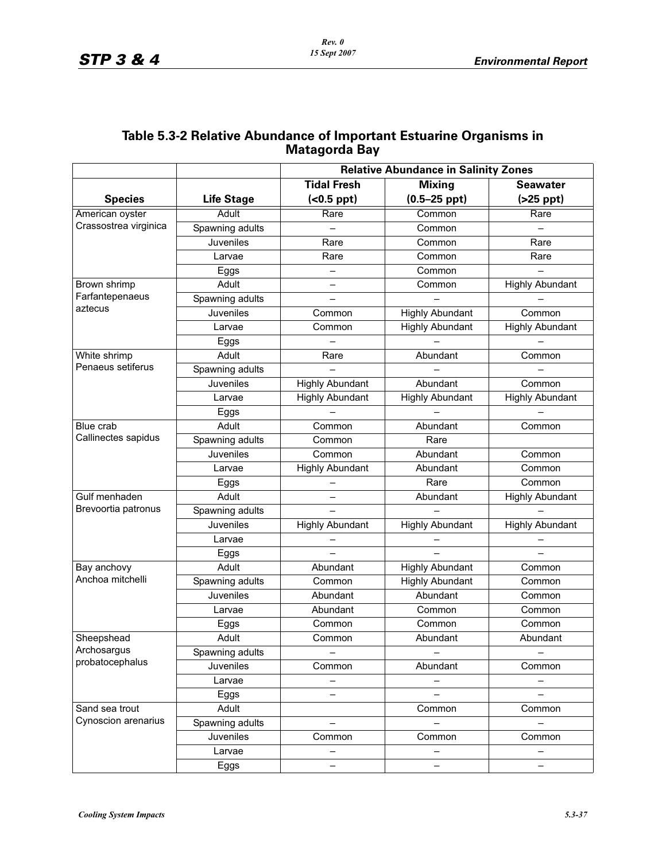|                       |                   | <b>Relative Abundance in Salinity Zones</b>            |                        |                        |  |  |
|-----------------------|-------------------|--------------------------------------------------------|------------------------|------------------------|--|--|
|                       |                   | <b>Tidal Fresh</b><br><b>Mixing</b><br><b>Seawater</b> |                        |                        |  |  |
| <b>Species</b>        | <b>Life Stage</b> | $(0.5 ppt)$                                            | $(0.5 - 25$ ppt)       | $(>25$ ppt)            |  |  |
| American oyster       | <b>Adult</b>      | Rare                                                   | Common                 | Rare                   |  |  |
| Crassostrea virginica | Spawning adults   | $\equiv$                                               | Common                 | $-$                    |  |  |
|                       | Juveniles         | Rare                                                   | Common                 | Rare                   |  |  |
|                       | Larvae            | Rare                                                   | Common                 | Rare                   |  |  |
|                       | Eggs              | $\overline{\phantom{0}}$                               | Common                 | $\equiv$               |  |  |
| Brown shrimp          | Adult             | $\qquad \qquad -$                                      | Common                 | <b>Highly Abundant</b> |  |  |
| Farfantepenaeus       | Spawning adults   | $\overline{\phantom{0}}$                               |                        |                        |  |  |
| aztecus               | Juveniles         | Common                                                 | <b>Highly Abundant</b> | Common                 |  |  |
|                       | Larvae            | Common                                                 | <b>Highly Abundant</b> | <b>Highly Abundant</b> |  |  |
|                       | Eggs              |                                                        |                        |                        |  |  |
| White shrimp          | Adult             | Rare                                                   | Abundant               | Common                 |  |  |
| Penaeus setiferus     | Spawning adults   |                                                        |                        |                        |  |  |
|                       | Juveniles         | <b>Highly Abundant</b>                                 | Abundant               | Common                 |  |  |
|                       | Larvae            | <b>Highly Abundant</b>                                 | <b>Highly Abundant</b> | <b>Highly Abundant</b> |  |  |
|                       | Eggs              |                                                        |                        |                        |  |  |
| Blue crab             | Adult             | Common                                                 | Abundant               | Common                 |  |  |
| Callinectes sapidus   | Spawning adults   | Common                                                 | Rare                   |                        |  |  |
|                       | Juveniles         | Common                                                 | Abundant               | Common                 |  |  |
|                       | Larvae            | <b>Highly Abundant</b>                                 | Abundant               | Common                 |  |  |
|                       | Eggs              |                                                        | Rare                   | Common                 |  |  |
| Gulf menhaden         | Adult             |                                                        | Abundant               | <b>Highly Abundant</b> |  |  |
| Brevoortia patronus   | Spawning adults   |                                                        |                        |                        |  |  |
|                       | <b>Juveniles</b>  | <b>Highly Abundant</b>                                 | <b>Highly Abundant</b> | <b>Highly Abundant</b> |  |  |
|                       | Larvae            |                                                        |                        |                        |  |  |
|                       | Eggs              |                                                        |                        |                        |  |  |
| Bay anchovy           | Adult             | Abundant                                               | <b>Highly Abundant</b> | Common                 |  |  |
| Anchoa mitchelli      | Spawning adults   | Common                                                 | <b>Highly Abundant</b> | Common                 |  |  |
|                       | Juveniles         | Abundant                                               | Abundant               | Common                 |  |  |
|                       | Larvae            | Abundant                                               | Common                 | Common                 |  |  |
|                       | Eggs              | Common                                                 | Common                 | Common                 |  |  |
| Sheepshead            | Adult             | Common                                                 | Abundant               | Abundant               |  |  |
| Archosargus           | Spawning adults   |                                                        |                        |                        |  |  |
| probatocephalus       | Juveniles         | Common                                                 | Abundant               | Common                 |  |  |
|                       | Larvae            |                                                        |                        |                        |  |  |
|                       | Eggs              | —                                                      |                        |                        |  |  |
| Sand sea trout        | Adult             |                                                        | Common                 | Common                 |  |  |
| Cynoscion arenarius   | Spawning adults   | $\overline{\phantom{0}}$                               |                        |                        |  |  |
|                       | Juveniles         | Common                                                 | Common                 | Common                 |  |  |
|                       | Larvae            |                                                        |                        |                        |  |  |
|                       | Eggs              |                                                        |                        |                        |  |  |

## **Table 5.3-2 Relative Abundance of Important Estuarine Organisms in Matagorda Bay**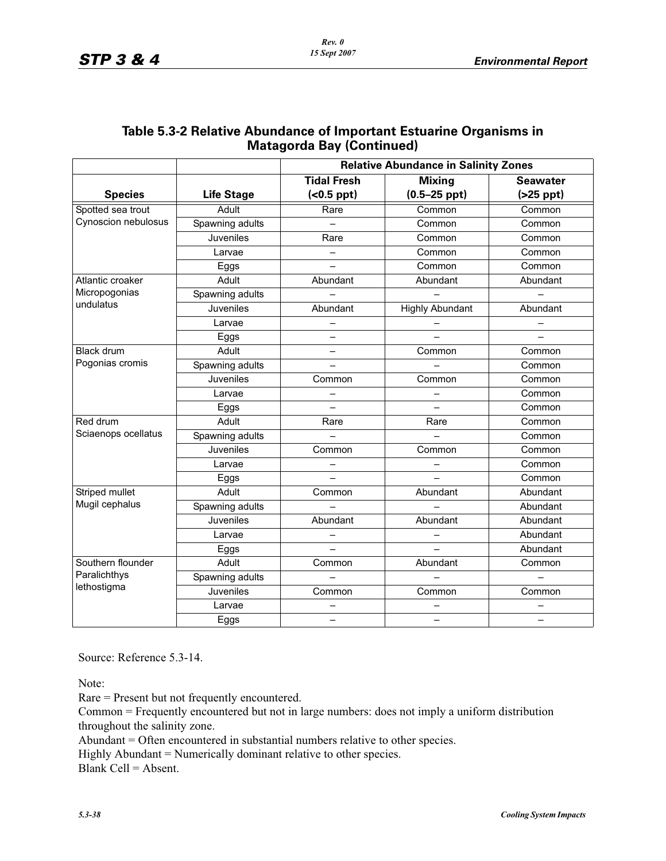|                     |                   | <b>Relative Abundance in Salinity Zones</b> |                        |                 |  |  |
|---------------------|-------------------|---------------------------------------------|------------------------|-----------------|--|--|
|                     |                   | <b>Tidal Fresh</b>                          | <b>Mixing</b>          | <b>Seawater</b> |  |  |
| <b>Species</b>      | <b>Life Stage</b> | $(0.5 ppt)$                                 | $(0.5 - 25$ ppt)       | $(>25$ ppt)     |  |  |
| Spotted sea trout   | Adult             | Rare                                        | Common                 | Common          |  |  |
| Cynoscion nebulosus | Spawning adults   |                                             | Common                 | Common          |  |  |
|                     | Juveniles         | Rare                                        | Common                 | Common          |  |  |
|                     | Larvae            | $\overline{\phantom{0}}$                    | Common                 | Common          |  |  |
|                     | Eggs              |                                             | Common                 | Common          |  |  |
| Atlantic croaker    | Adult             | Abundant                                    | Abundant               | Abundant        |  |  |
| Micropogonias       | Spawning adults   |                                             |                        |                 |  |  |
| undulatus           | Juveniles         | Abundant                                    | <b>Highly Abundant</b> | Abundant        |  |  |
|                     | Larvae            |                                             |                        |                 |  |  |
|                     | Eggs              |                                             |                        |                 |  |  |
| <b>Black drum</b>   | Adult             | —                                           | Common                 | Common          |  |  |
| Pogonias cromis     | Spawning adults   |                                             |                        | Common          |  |  |
|                     | Juveniles         | Common                                      | Common                 | Common          |  |  |
|                     | Larvae            |                                             |                        | Common          |  |  |
|                     | Eggs              | $\overline{\phantom{0}}$                    |                        | Common          |  |  |
| Red drum            | Adult             | Rare                                        | Rare                   | Common          |  |  |
| Sciaenops ocellatus | Spawning adults   |                                             |                        | Common          |  |  |
|                     | Juveniles         | Common                                      | Common                 | Common          |  |  |
|                     | Larvae            |                                             |                        | Common          |  |  |
|                     | Eggs              |                                             |                        | Common          |  |  |
| Striped mullet      | Adult             | Common                                      | Abundant               | Abundant        |  |  |
| Mugil cephalus      | Spawning adults   |                                             |                        | Abundant        |  |  |
|                     | Juveniles         | Abundant                                    | Abundant               | Abundant        |  |  |
|                     | Larvae            | —                                           | -                      | Abundant        |  |  |
|                     | Eggs              |                                             |                        | Abundant        |  |  |
| Southern flounder   | Adult             | Common                                      | Abundant               | Common          |  |  |
| Paralichthys        | Spawning adults   |                                             |                        |                 |  |  |
| lethostigma         | Juveniles         | Common                                      | Common                 | Common          |  |  |
|                     | Larvae            |                                             |                        |                 |  |  |
|                     | Eggs              |                                             |                        |                 |  |  |

## **Table 5.3-2 Relative Abundance of Important Estuarine Organisms in Matagorda Bay (Continued)**

Source: Reference 5.3-14.

Note:

Rare = Present but not frequently encountered.

Common = Frequently encountered but not in large numbers: does not imply a uniform distribution throughout the salinity zone.

Abundant = Often encountered in substantial numbers relative to other species.

Highly Abundant = Numerically dominant relative to other species.

Blank Cell =  $\Delta$ bsent.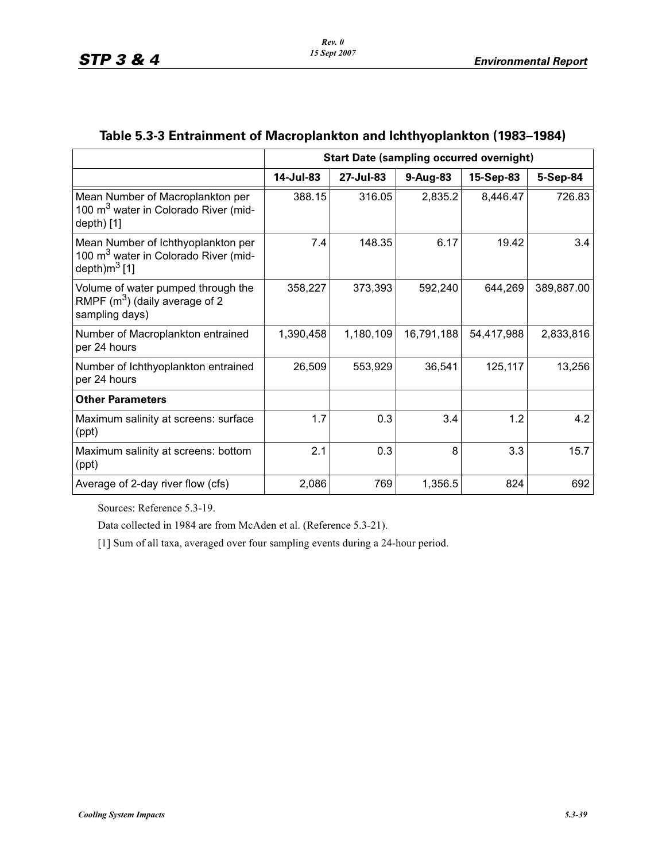|                                                                                                            | <b>Start Date (sampling occurred overnight)</b> |           |            |            |            |
|------------------------------------------------------------------------------------------------------------|-------------------------------------------------|-----------|------------|------------|------------|
|                                                                                                            | 14-Jul-83                                       | 27-Jul-83 | 9-Aug-83   | 15-Sep-83  | 5-Sep-84   |
| Mean Number of Macroplankton per<br>100 m <sup>3</sup> water in Colorado River (mid-<br>depth) [1]         | 388.15                                          | 316.05    | 2,835.2    | 8,446.47   | 726.83     |
| Mean Number of Ichthyoplankton per<br>100 m <sup>3</sup> water in Colorado River (mid-<br>depth) $m^3$ [1] | 7.4                                             | 148.35    | 6.17       | 19.42      | 3.4        |
| Volume of water pumped through the<br>RMPF $(m^3)$ (daily average of 2<br>sampling days)                   | 358,227                                         | 373,393   | 592,240    | 644,269    | 389,887.00 |
| Number of Macroplankton entrained<br>per 24 hours                                                          | 1,390,458                                       | 1,180,109 | 16,791,188 | 54,417,988 | 2,833,816  |
| Number of Ichthyoplankton entrained<br>per 24 hours                                                        | 26,509                                          | 553,929   | 36,541     | 125,117    | 13,256     |
| <b>Other Parameters</b>                                                                                    |                                                 |           |            |            |            |
| Maximum salinity at screens: surface<br>(ppt)                                                              | 1.7                                             | 0.3       | 3.4        | 1.2        | 4.2        |
| Maximum salinity at screens: bottom<br>(ppt)                                                               | 2.1                                             | 0.3       | 8          | 3.3        | 15.7       |
| Average of 2-day river flow (cfs)                                                                          | 2,086                                           | 769       | 1,356.5    | 824        | 692        |

## **Table 5.3-3 Entrainment of Macroplankton and Ichthyoplankton (1983–1984)**

Sources: Reference 5.3-19.

Data collected in 1984 are from McAden et al. (Reference 5.3-21).

[1] Sum of all taxa, averaged over four sampling events during a 24-hour period.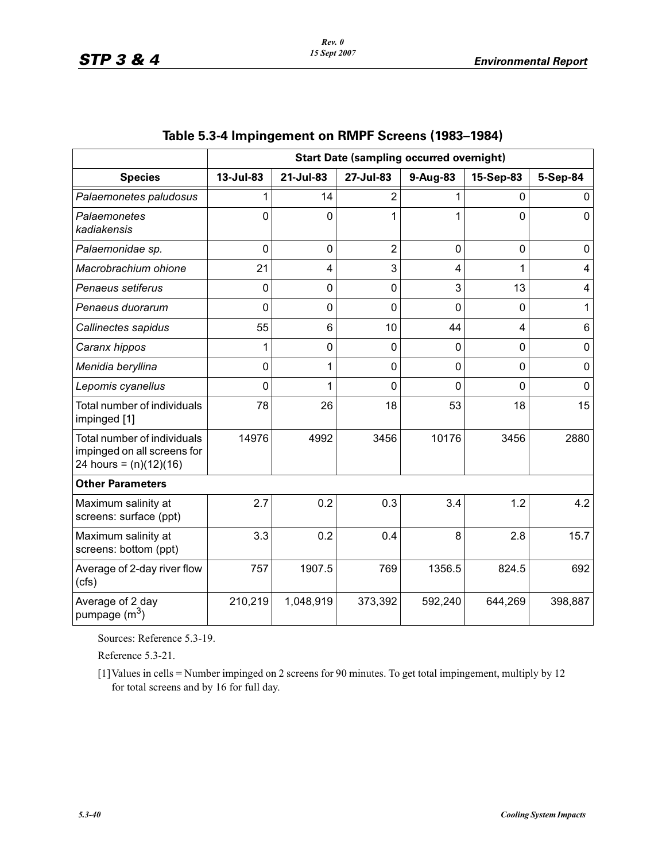|                                                                                        | <b>Start Date (sampling occurred overnight)</b> |                |                |              |                |             |
|----------------------------------------------------------------------------------------|-------------------------------------------------|----------------|----------------|--------------|----------------|-------------|
| <b>Species</b>                                                                         | 13-Jul-83                                       | 21-Jul-83      | 27-Jul-83      | 9-Aug-83     | 15-Sep-83      | 5-Sep-84    |
| Palaemonetes paludosus                                                                 |                                                 | 14             | 2              |              | 0              | 0           |
| Palaemonetes<br>kadiakensis                                                            | $\Omega$                                        | 0              | 1              |              | $\Omega$       | $\mathbf 0$ |
| Palaemonidae sp.                                                                       | $\mathbf{0}$                                    | $\overline{0}$ | $\overline{2}$ | $\mathbf{0}$ | $\mathbf 0$    | 0           |
| Macrobrachium ohione                                                                   | 21                                              | 4              | 3              | 4            | 1              | 4           |
| Penaeus setiferus                                                                      | 0                                               | $\mathbf 0$    | 0              | 3            | 13             | 4           |
| Penaeus duorarum                                                                       | $\Omega$                                        | 0              | 0              | $\Omega$     | $\Omega$       | 1           |
| Callinectes sapidus                                                                    | 55                                              | 6              | 10             | 44           | $\overline{4}$ | 6           |
| Caranx hippos                                                                          |                                                 | $\mathbf 0$    | 0              | $\Omega$     | $\Omega$       | $\mathbf 0$ |
| Menidia beryllina                                                                      | $\Omega$                                        | 1              | $\overline{0}$ | $\mathbf 0$  | $\mathbf 0$    | $\mathbf 0$ |
| Lepomis cyanellus                                                                      | $\mathbf{0}$                                    | 1              | 0              | $\mathbf 0$  | $\Omega$       | $\mathbf 0$ |
| Total number of individuals<br>impinged [1]                                            | 78                                              | 26             | 18             | 53           | 18             | 15          |
| Total number of individuals<br>impinged on all screens for<br>24 hours = $(n)(12)(16)$ | 14976                                           | 4992           | 3456           | 10176        | 3456           | 2880        |
| <b>Other Parameters</b>                                                                |                                                 |                |                |              |                |             |
| Maximum salinity at<br>screens: surface (ppt)                                          | 2.7                                             | 0.2            | 0.3            | 3.4          | 1.2            | 4.2         |
| Maximum salinity at<br>screens: bottom (ppt)                                           | 3.3                                             | 0.2            | 0.4            | 8            | 2.8            | 15.7        |
| Average of 2-day river flow<br>(cfs)                                                   | 757                                             | 1907.5         | 769            | 1356.5       | 824.5          | 692         |
| Average of 2 day<br>pumpage $(m^3)$                                                    | 210,219                                         | 1,048,919      | 373,392        | 592,240      | 644,269        | 398,887     |

# **Table 5.3-4 Impingement on RMPF Screens (1983–1984)**

Sources: Reference 5.3-19.

Reference 5.3-21.

[1]Values in cells = Number impinged on 2 screens for 90 minutes. To get total impingement, multiply by 12 for total screens and by 16 for full day.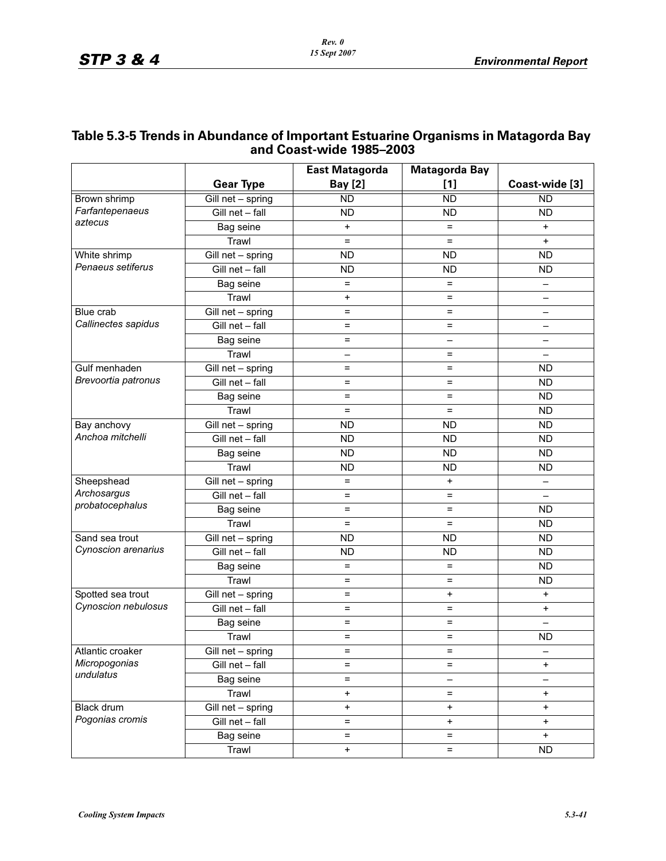|                     |                                 | aliu Cuast-Miut 1909–2009 |                          |                                  |
|---------------------|---------------------------------|---------------------------|--------------------------|----------------------------------|
|                     |                                 | East Matagorda            | <b>Matagorda Bay</b>     |                                  |
|                     | <b>Gear Type</b>                | <b>Bay</b> [2]            | $[1]$                    | Coast-wide [3]                   |
| Brown shrimp        | Gill net - spring               | $\overline{ND}$           | <b>ND</b>                | $\overline{ND}$                  |
| Farfantepenaeus     | Gill net - fall                 | <b>ND</b>                 | <b>ND</b>                | <b>ND</b>                        |
| aztecus             | Bag seine                       | $\ddot{}$                 | $=$                      | $\ddot{}$                        |
|                     | Trawl                           | $=$                       | $=$                      | $+$                              |
| White shrimp        | Gill net - spring               | <b>ND</b>                 | <b>ND</b>                | <b>ND</b>                        |
| Penaeus setiferus   | Gill net - fall                 | <b>ND</b>                 | <b>ND</b>                | <b>ND</b>                        |
|                     | Bag seine                       | $\equiv$                  | $\equiv$                 | $\qquad \qquad -$                |
|                     | Trawl                           | $\ddot{}$                 | $=$                      | $\qquad \qquad -$                |
| Blue crab           | Gill net - spring               | $\equiv$                  | $\equiv$                 | -                                |
| Callinectes sapidus | Gill net - fall                 | $=$                       | $=$                      | $\qquad \qquad -$                |
|                     | Bag seine                       | $=$                       | $\overline{\phantom{0}}$ |                                  |
|                     | Trawl                           |                           | $=$                      |                                  |
| Gulf menhaden       | Gill net - spring               | $=$                       | $\equiv$                 | <b>ND</b>                        |
| Brevoortia patronus | Gill net - fall                 | $=$                       | $=$                      | <b>ND</b>                        |
|                     | Bag seine                       | $=$                       | $=$                      | <b>ND</b>                        |
|                     | Trawl                           | $\equiv$                  | $=$                      | <b>ND</b>                        |
| Bay anchovy         | Gill net - spring               | <b>ND</b>                 | <b>ND</b>                | <b>ND</b>                        |
| Anchoa mitchelli    | Gill net - fall                 | <b>ND</b>                 | <b>ND</b>                | <b>ND</b>                        |
|                     | Bag seine                       | <b>ND</b>                 | <b>ND</b>                | <b>ND</b>                        |
|                     | Trawl                           | <b>ND</b>                 | <b>ND</b>                | <b>ND</b>                        |
| Sheepshead          | Gill net - spring               | $\equiv$                  | $\ddot{}$                | $\qquad \qquad -$                |
| Archosargus         | Gill net - fall                 | $=$                       | $=$                      | $\qquad \qquad -$                |
| probatocephalus     | Bag seine                       | $=$                       | $=$                      | <b>ND</b>                        |
|                     | Trawl                           | $=$                       | $=$                      | <b>ND</b>                        |
| Sand sea trout      | $\overline{G}$ ill net - spring | <b>ND</b>                 | <b>ND</b>                | <b>ND</b>                        |
| Cynoscion arenarius | Gill net - fall                 | <b>ND</b>                 | <b>ND</b>                | <b>ND</b>                        |
|                     | Bag seine                       | $\equiv$                  | $\equiv$                 | <b>ND</b>                        |
|                     | Trawl                           | $\equiv$                  | $\equiv$                 | <b>ND</b>                        |
| Spotted sea trout   | Gill net - spring               | $=$                       | $\ddot{}$                | $\ddot{}$                        |
| Cynoscion nebulosus | Gill net - fall                 | $=$                       | $\qquad \qquad =$        | $\ddot{}$                        |
|                     | Bag seine                       | $=$                       | $\qquad \qquad =$        | $\overline{\phantom{0}}$         |
|                     | Trawl                           | $=$                       | $=$                      | <b>ND</b>                        |
| Atlantic croaker    | Gill net - spring               | $=$                       | $\equiv$                 |                                  |
| Micropogonias       | Gill net - fall                 | $=$                       | $\qquad \qquad =$        | $\ddot{}$                        |
| undulatus           | Bag seine                       | $=$                       | -                        |                                  |
|                     | Trawl                           | +                         | $\equiv$                 | $\begin{array}{c} + \end{array}$ |
| Black drum          | Gill net - spring               | $\ddot{}$                 | $\pmb{+}$                | $\bf{+}$                         |
| Pogonias cromis     | Gill net - fall                 | $=$                       | $\ddot{}$                | $\begin{array}{c} + \end{array}$ |
|                     | Bag seine                       | $=$                       | $\equiv$                 | $\ddot{}$                        |
|                     | Trawl                           | $\pmb{+}$                 | $\equiv$                 | <b>ND</b>                        |

## **Table 5.3-5 Trends in Abundance of Important Estuarine Organisms in Matagorda Bay and Coast-wide 1985–2003**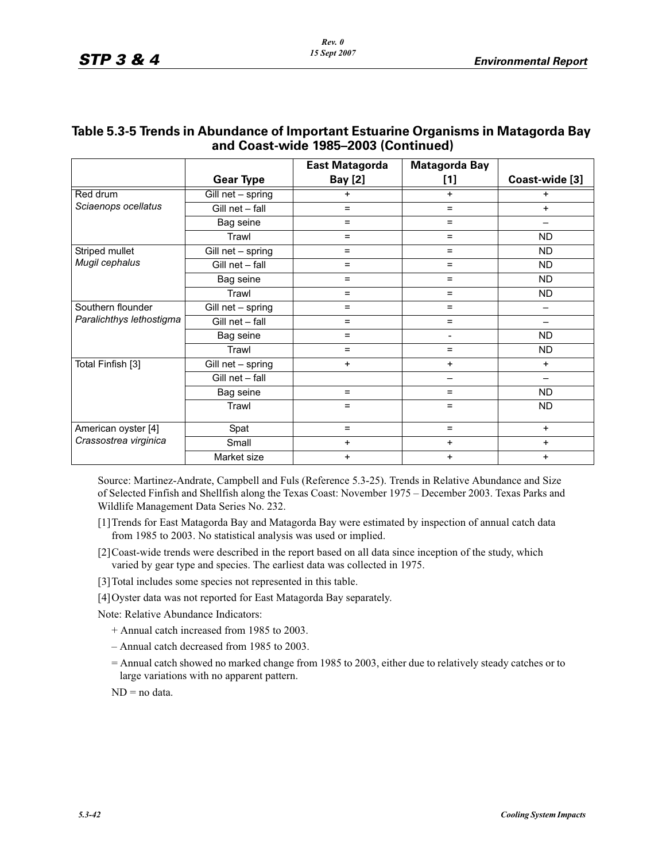|                          |                   | <b>East Matagorda</b> | <b>Matagorda Bay</b> |                          |
|--------------------------|-------------------|-----------------------|----------------------|--------------------------|
|                          | <b>Gear Type</b>  | <b>Bay</b> [2]        | $[1]$                | Coast-wide [3]           |
| Red drum                 | Gill net - spring | $\ddot{}$             | $\ddot{}$            | $\ddot{}$                |
| Sciaenops ocellatus      | Gill net - fall   | $=$                   | $\equiv$             | $+$                      |
|                          | Bag seine         | $=$                   | $=$                  | $\overline{\phantom{0}}$ |
|                          | Trawl             | $=$                   | $\equiv$             | ND.                      |
| Striped mullet           | Gill net - spring | $=$                   | $\equiv$             | <b>ND</b>                |
| Mugil cephalus           | Gill net - fall   | $=$                   | $\equiv$             | ND.                      |
|                          | Bag seine         | $=$                   | $=$                  | ND.                      |
|                          | Trawl             | $=$                   | $\equiv$             | <b>ND</b>                |
| Southern flounder        | Gill net - spring | $=$                   | $\equiv$             |                          |
| Paralichthys lethostigma | Gill net - fall   | $=$                   | $=$                  |                          |
|                          | Bag seine         | $=$                   | -                    | ND.                      |
|                          | Trawl             | $\qquad \qquad =$     | $\equiv$             | <b>ND</b>                |
| Total Finfish [3]        | Gill net - spring | $\ddot{}$             | $\ddot{}$            | $\ddot{}$                |
|                          | Gill net - fall   |                       | -                    | —                        |
|                          | Bag seine         | $=$                   | $\equiv$             | <b>ND</b>                |
|                          | Trawl             | $=$                   | $=$                  | <b>ND</b>                |
| American oyster [4]      | Spat              | $\qquad \qquad =$     | $\equiv$             | $+$                      |
| Crassostrea virginica    | Small             | $\ddot{}$             | $\ddot{}$            | $\ddot{}$                |
|                          | Market size       | $\ddot{}$             | $\ddot{}$            | $\ddot{}$                |

## **Table 5.3-5 Trends in Abundance of Important Estuarine Organisms in Matagorda Bay and Coast-wide 1985–2003 (Continued)**

Source: Martinez-Andrate, Campbell and Fuls (Reference 5.3-25). Trends in Relative Abundance and Size of Selected Finfish and Shellfish along the Texas Coast: November 1975 – December 2003. Texas Parks and Wildlife Management Data Series No. 232.

- [1]Trends for East Matagorda Bay and Matagorda Bay were estimated by inspection of annual catch data from 1985 to 2003. No statistical analysis was used or implied.
- [2]Coast-wide trends were described in the report based on all data since inception of the study, which varied by gear type and species. The earliest data was collected in 1975.
- [3] Total includes some species not represented in this table.
- [4]Oyster data was not reported for East Matagorda Bay separately.

Note: Relative Abundance Indicators:

- + Annual catch increased from 1985 to 2003.
- Annual catch decreased from 1985 to 2003.
- = Annual catch showed no marked change from 1985 to 2003, either due to relatively steady catches or to large variations with no apparent pattern.

ND = no data.